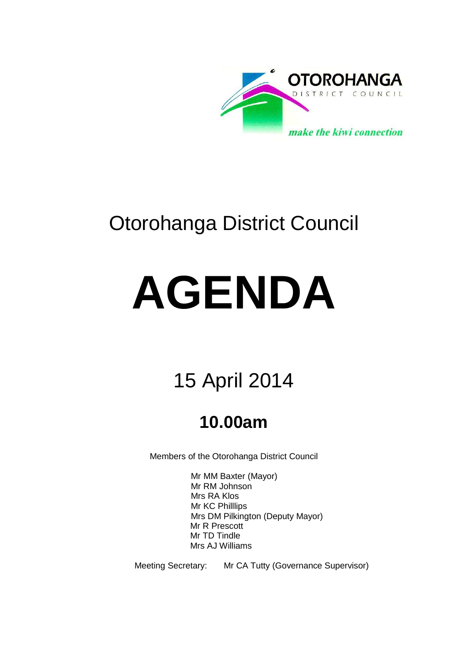

## Otorohanga District Council

# **AGENDA**

# 15 April 2014

## **10.00am**

Members of the Otorohanga District Council

Mr MM Baxter (Mayor) Mr RM Johnson Mrs RA Klos Mr KC Philllips Mrs DM Pilkington (Deputy Mayor) Mr R Prescott Mr TD Tindle Mrs AJ Williams

Meeting Secretary: Mr CA Tutty (Governance Supervisor)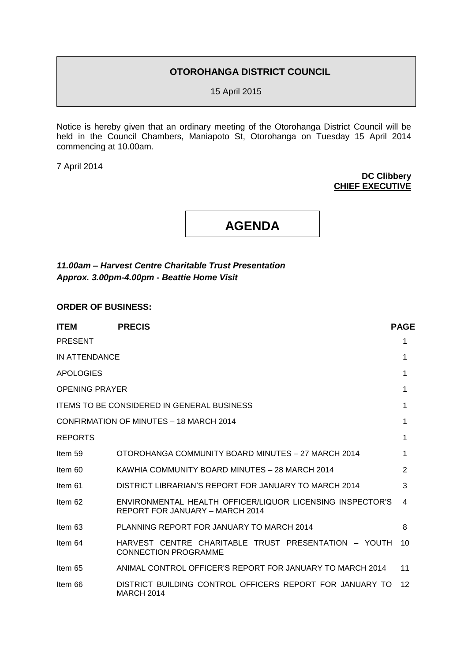#### **OTOROHANGA DISTRICT COUNCIL**

15 April 2015

Notice is hereby given that an ordinary meeting of the Otorohanga District Council will be held in the Council Chambers, Maniapoto St, Otorohanga on Tuesday 15 April 2014 commencing at 10.00am.

7 April 2014

#### **DC Clibbery CHIEF EXECUTIVE**

**AGENDA**

*11.00am – Harvest Centre Charitable Trust Presentation Approx. 3.00pm-4.00pm - Beattie Home Visit*

**ORDER OF BUSINESS:**

| <b>ITEM</b>           | <b>PRECIS</b>                                                                                | <b>PAGE</b> |
|-----------------------|----------------------------------------------------------------------------------------------|-------------|
| <b>PRESENT</b>        |                                                                                              | 1           |
| IN ATTENDANCE         |                                                                                              | 1           |
| <b>APOLOGIES</b>      |                                                                                              | 1           |
| <b>OPENING PRAYER</b> |                                                                                              | 1           |
|                       | <b>ITEMS TO BE CONSIDERED IN GENERAL BUSINESS</b>                                            | 1           |
|                       | CONFIRMATION OF MINUTES - 18 MARCH 2014                                                      | 1           |
| <b>REPORTS</b>        |                                                                                              | 1           |
| Item 59               | OTOROHANGA COMMUNITY BOARD MINUTES - 27 MARCH 2014                                           | 1           |
| Item 60               | KAWHIA COMMUNITY BOARD MINUTES - 28 MARCH 2014                                               | 2           |
| Item 61               | DISTRICT LIBRARIAN'S REPORT FOR JANUARY TO MARCH 2014                                        | 3           |
| Item 62               | ENVIRONMENTAL HEALTH OFFICER/LIQUOR LICENSING INSPECTOR'S<br>REPORT FOR JANUARY - MARCH 2014 | 4           |
| Item 63               | PLANNING REPORT FOR JANUARY TO MARCH 2014                                                    | 8           |
| Item 64               | HARVEST CENTRE CHARITABLE TRUST PRESENTATION - YOUTH<br><b>CONNECTION PROGRAMME</b>          | 10          |
| Item 65               | ANIMAL CONTROL OFFICER'S REPORT FOR JANUARY TO MARCH 2014                                    | 11          |
| Item 66               | DISTRICT BUILDING CONTROL OFFICERS REPORT FOR JANUARY TO<br><b>MARCH 2014</b>                | $12 \,$     |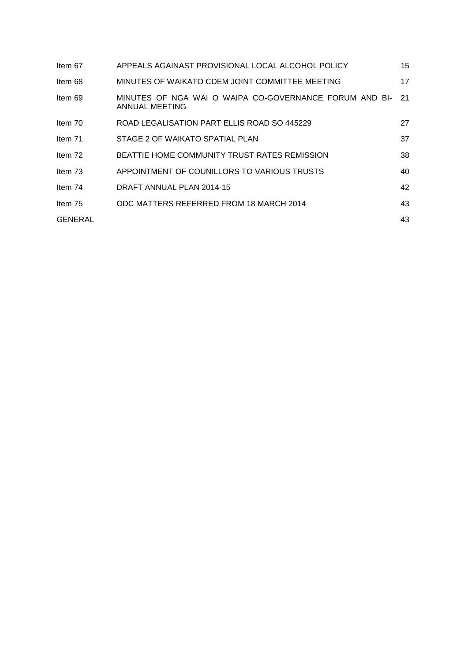| Item 67        | APPEALS AGAINAST PROVISIONAL LOCAL ALCOHOL POLICY                        | 15 |
|----------------|--------------------------------------------------------------------------|----|
| Item 68        | MINUTES OF WAIKATO CDEM JOINT COMMITTEE MEETING                          | 17 |
| Item 69        | MINUTES OF NGA WAI O WAIPA CO-GOVERNANCE FORUM AND BI-<br>ANNUAL MEETING | 21 |
| Item $70$      | ROAD LEGALISATION PART ELLIS ROAD SO 445229                              | 27 |
| Item 71        | STAGE 2 OF WAIKATO SPATIAL PLAN                                          | 37 |
| Item 72        | BEATTIE HOME COMMUNITY TRUST RATES REMISSION                             | 38 |
| Item 73        | APPOINTMENT OF COUNILLORS TO VARIOUS TRUSTS                              | 40 |
| Item 74        | DRAFT ANNUAL PLAN 2014-15                                                | 42 |
| Item 75        | ODC MATTERS REFERRED FROM 18 MARCH 2014                                  | 43 |
| <b>GENERAL</b> |                                                                          | 43 |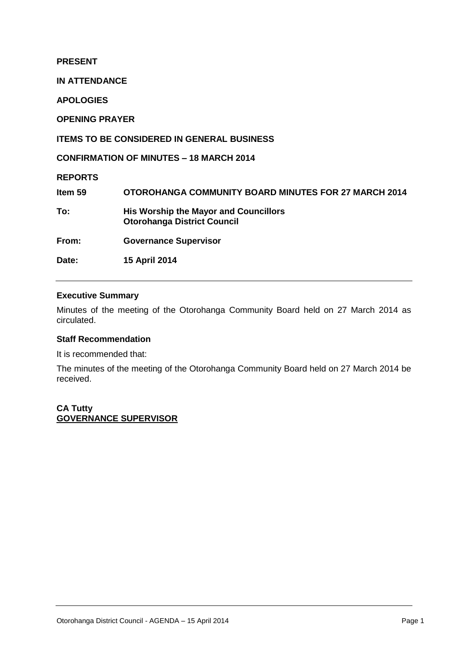**PRESENT**

**IN ATTENDANCE**

**APOLOGIES**

**OPENING PRAYER**

**ITEMS TO BE CONSIDERED IN GENERAL BUSINESS**

**CONFIRMATION OF MINUTES – 18 MARCH 2014**

**REPORTS**

**Item 59 OTOROHANGA COMMUNITY BOARD MINUTES FOR 27 MARCH 2014 To: His Worship the Mayor and Councillors Otorohanga District Council From: Governance Supervisor Date: 15 April 2014** 

#### **Executive Summary**

Minutes of the meeting of the Otorohanga Community Board held on 27 March 2014 as circulated.

#### **Staff Recommendation**

It is recommended that:

The minutes of the meeting of the Otorohanga Community Board held on 27 March 2014 be received.

**CA Tutty GOVERNANCE SUPERVISOR**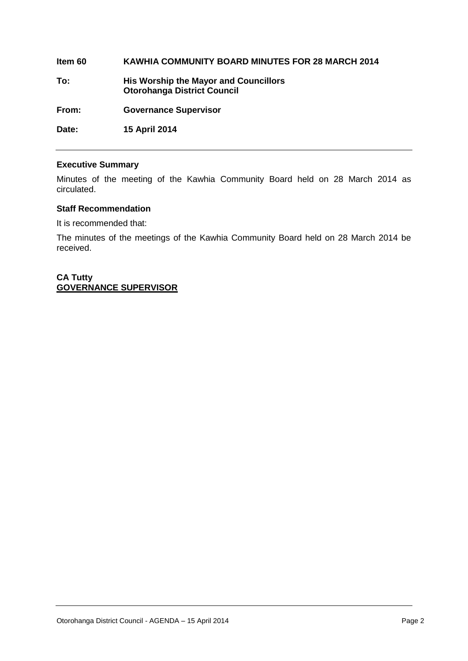## **Item 60 KAWHIA COMMUNITY BOARD MINUTES FOR 28 MARCH 2014 To: His Worship the Mayor and Councillors Otorohanga District Council From: Governance Supervisor Date: 15 April 2014**

#### **Executive Summary**

Minutes of the meeting of the Kawhia Community Board held on 28 March 2014 as circulated.

#### **Staff Recommendation**

It is recommended that:

The minutes of the meetings of the Kawhia Community Board held on 28 March 2014 be received.

**CA Tutty GOVERNANCE SUPERVISOR**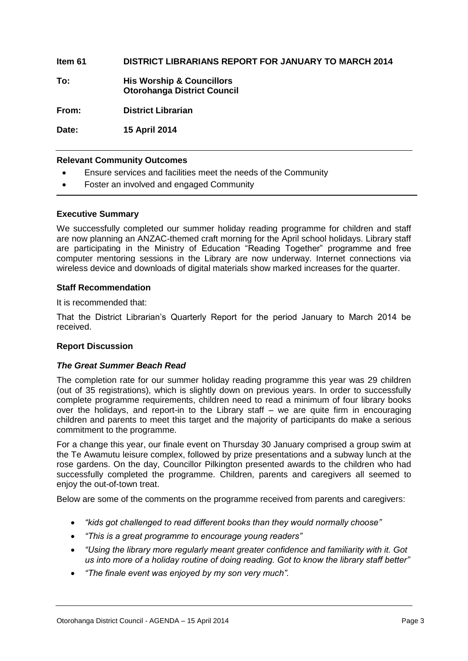#### **Item 61 DISTRICT LIBRARIANS REPORT FOR JANUARY TO MARCH 2014**

**To: His Worship & Councillors Otorohanga District Council**

**From: District Librarian**

**Date: 15 April 2014**

#### **Relevant Community Outcomes**

- Ensure services and facilities meet the needs of the Community
- Foster an involved and engaged Community

#### **Executive Summary**

We successfully completed our summer holiday reading programme for children and staff are now planning an ANZAC-themed craft morning for the April school holidays. Library staff are participating in the Ministry of Education "Reading Together" programme and free computer mentoring sessions in the Library are now underway. Internet connections via wireless device and downloads of digital materials show marked increases for the quarter.

#### **Staff Recommendation**

It is recommended that:

That the District Librarian's Quarterly Report for the period January to March 2014 be received.

#### **Report Discussion**

#### *The Great Summer Beach Read*

The completion rate for our summer holiday reading programme this year was 29 children (out of 35 registrations), which is slightly down on previous years. In order to successfully complete programme requirements, children need to read a minimum of four library books over the holidays, and report-in to the Library staff – we are quite firm in encouraging children and parents to meet this target and the majority of participants do make a serious commitment to the programme.

For a change this year, our finale event on Thursday 30 January comprised a group swim at the Te Awamutu leisure complex, followed by prize presentations and a subway lunch at the rose gardens. On the day, Councillor Pilkington presented awards to the children who had successfully completed the programme. Children, parents and caregivers all seemed to enjoy the out-of-town treat.

Below are some of the comments on the programme received from parents and caregivers:

- *"kids got challenged to read different books than they would normally choose"*
- *"This is a great programme to encourage young readers"*
- *"Using the library more regularly meant greater confidence and familiarity with it. Got us into more of a holiday routine of doing reading. Got to know the library staff better"*
- *"The finale event was enjoyed by my son very much".*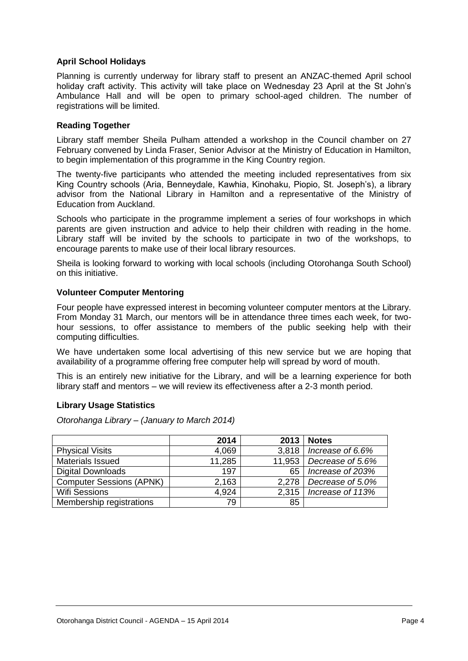#### **April School Holidays**

Planning is currently underway for library staff to present an ANZAC-themed April school holiday craft activity. This activity will take place on Wednesday 23 April at the St John's Ambulance Hall and will be open to primary school-aged children. The number of registrations will be limited.

#### **Reading Together**

Library staff member Sheila Pulham attended a workshop in the Council chamber on 27 February convened by Linda Fraser, Senior Advisor at the Ministry of Education in Hamilton, to begin implementation of this programme in the King Country region.

The twenty-five participants who attended the meeting included representatives from six King Country schools (Aria, Benneydale, Kawhia, Kinohaku, Piopio, St. Joseph's), a library advisor from the National Library in Hamilton and a representative of the Ministry of Education from Auckland.

Schools who participate in the programme implement a series of four workshops in which parents are given instruction and advice to help their children with reading in the home. Library staff will be invited by the schools to participate in two of the workshops, to encourage parents to make use of their local library resources.

Sheila is looking forward to working with local schools (including Otorohanga South School) on this initiative.

#### **Volunteer Computer Mentoring**

Four people have expressed interest in becoming volunteer computer mentors at the Library. From Monday 31 March, our mentors will be in attendance three times each week, for twohour sessions, to offer assistance to members of the public seeking help with their computing difficulties.

We have undertaken some local advertising of this new service but we are hoping that availability of a programme offering free computer help will spread by word of mouth.

This is an entirely new initiative for the Library, and will be a learning experience for both library staff and mentors – we will review its effectiveness after a 2-3 month period.

#### **Library Usage Statistics**

*Otorohanga Library – (January to March 2014)*

|                                 | 2014   | 2013   | <b>Notes</b>     |
|---------------------------------|--------|--------|------------------|
| <b>Physical Visits</b>          | 4,069  | 3.818  | Increase of 6.6% |
| Materials Issued                | 11,285 | 11,953 | Decrease of 5.6% |
| <b>Digital Downloads</b>        | 197    | 65     | Increase of 203% |
| <b>Computer Sessions (APNK)</b> | 2,163  | 2,278  | Decrease of 5.0% |
| <b>Wifi Sessions</b>            | 4.924  | 2.315  | Increase of 113% |
| Membership registrations        | 79     | 85     |                  |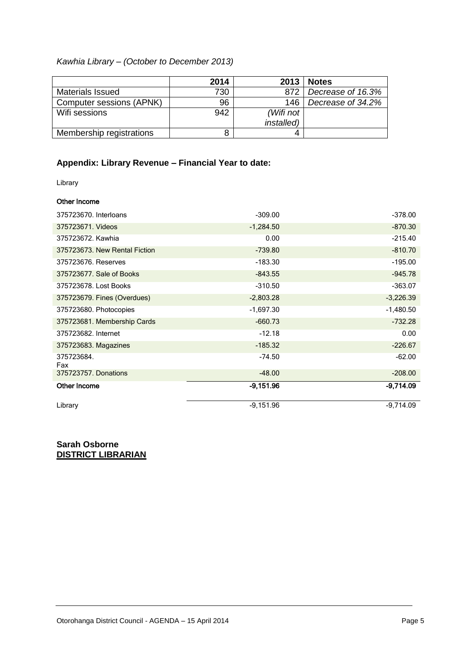#### *Kawhia Library – (October to December 2013)*

|                          | 2014 | 2013               | <b>Notes</b>      |
|--------------------------|------|--------------------|-------------------|
| Materials Issued         | 730  | 872                | Decrease of 16.3% |
| Computer sessions (APNK) | 96   | 146                | Decrease of 34.2% |
| Wifi sessions            | 942  | (Wifi not          |                   |
|                          |      | <i>installed</i> ) |                   |
| Membership registrations |      |                    |                   |

#### **Appendix: Library Revenue – Financial Year to date:**

Library

#### Other Income

| 375723670. Interloans         | $-309.00$   | $-378.00$   |
|-------------------------------|-------------|-------------|
| 375723671. Videos             | $-1,284.50$ | $-870.30$   |
| 375723672. Kawhia             | 0.00        | $-215.40$   |
| 375723673. New Rental Fiction | $-739.80$   | $-810.70$   |
| 375723676. Reserves           | $-183.30$   | $-195.00$   |
| 375723677. Sale of Books      | $-843.55$   | $-945.78$   |
| 375723678. Lost Books         | $-310.50$   | $-363.07$   |
| 375723679. Fines (Overdues)   | $-2,803.28$ | $-3,226.39$ |
| 375723680. Photocopies        | $-1,697.30$ | $-1,480.50$ |
| 375723681. Membership Cards   | $-660.73$   | $-732.28$   |
| 375723682. Internet           | $-12.18$    | 0.00        |
| 375723683. Magazines          | $-185.32$   | $-226.67$   |
| 375723684.<br>Fax             | $-74.50$    | $-62.00$    |
| 375723757. Donations          | $-48.00$    | $-208.00$   |
| <b>Other Income</b>           | -9,151.96   | -9,714.09   |
| Library                       | $-9,151.96$ | $-9,714.09$ |

**Sarah Osborne DISTRICT LIBRARIAN**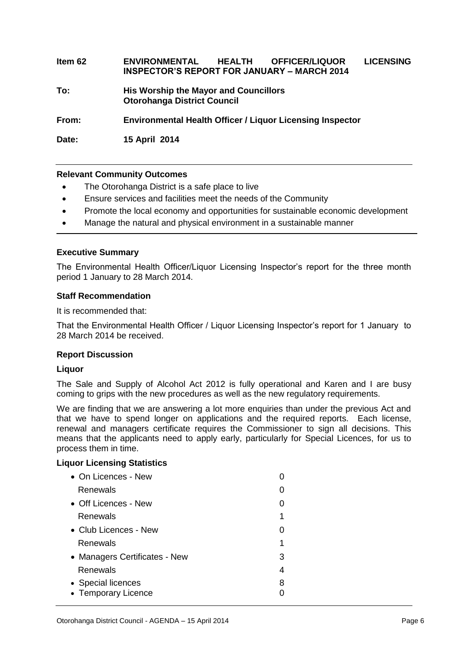**Item 62 ENVIRONMENTAL HEALTH OFFICER/LIQUOR LICENSING INSPECTOR'S REPORT FOR JANUARY – MARCH 2014 To: His Worship the Mayor and Councillors Otorohanga District Council From: Environmental Health Officer / Liquor Licensing Inspector Date: 15 April 2014**

#### **Relevant Community Outcomes**

- The Otorohanga District is a safe place to live
- Ensure services and facilities meet the needs of the Community
- Promote the local economy and opportunities for sustainable economic development
- Manage the natural and physical environment in a sustainable manner

#### **Executive Summary**

The Environmental Health Officer/Liquor Licensing Inspector's report for the three month period 1 January to 28 March 2014.

#### **Staff Recommendation**

It is recommended that:

That the Environmental Health Officer / Liquor Licensing Inspector's report for 1 January to 28 March 2014 be received.

#### **Report Discussion**

#### **Liquor**

The Sale and Supply of Alcohol Act 2012 is fully operational and Karen and I are busy coming to grips with the new procedures as well as the new regulatory requirements.

We are finding that we are answering a lot more enquiries than under the previous Act and that we have to spend longer on applications and the required reports. Each license, renewal and managers certificate requires the Commissioner to sign all decisions. This means that the applicants need to apply early, particularly for Special Licences, for us to process them in time.

#### **Liquor Licensing Statistics**

| $\bullet$ On Licences - New   |   |
|-------------------------------|---|
| Renewals                      |   |
| • Off Licences - New          |   |
| Renewals                      | 1 |
| • Club Licences - New         |   |
| Renewals                      | 1 |
| • Managers Certificates - New | 3 |
| Renewals                      | 4 |
| • Special licences            | 8 |
| • Temporary Licence           |   |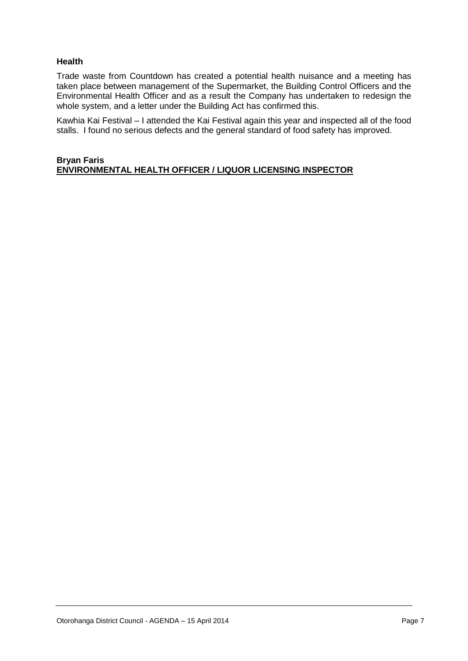#### **Health**

Trade waste from Countdown has created a potential health nuisance and a meeting has taken place between management of the Supermarket, the Building Control Officers and the Environmental Health Officer and as a result the Company has undertaken to redesign the whole system, and a letter under the Building Act has confirmed this.

Kawhia Kai Festival – I attended the Kai Festival again this year and inspected all of the food stalls. I found no serious defects and the general standard of food safety has improved.

#### **Bryan Faris ENVIRONMENTAL HEALTH OFFICER / LIQUOR LICENSING INSPECTOR**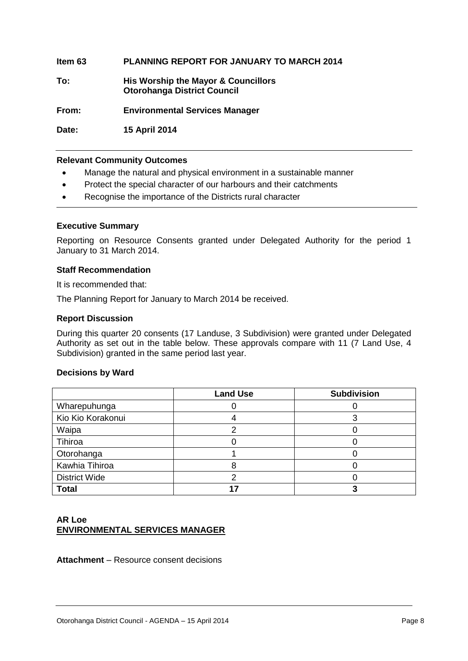#### **Item 63 PLANNING REPORT FOR JANUARY TO MARCH 2014**

**To: His Worship the Mayor & Councillors Otorohanga District Council**

**From: Environmental Services Manager**

**Date: 15 April 2014**

#### **Relevant Community Outcomes**

- Manage the natural and physical environment in a sustainable manner
- Protect the special character of our harbours and their catchments
- Recognise the importance of the Districts rural character

#### **Executive Summary**

Reporting on Resource Consents granted under Delegated Authority for the period 1 January to 31 March 2014.

#### **Staff Recommendation**

It is recommended that:

The Planning Report for January to March 2014 be received.

#### **Report Discussion**

During this quarter 20 consents (17 Landuse, 3 Subdivision) were granted under Delegated Authority as set out in the table below. These approvals compare with 11 (7 Land Use, 4 Subdivision) granted in the same period last year.

#### **Decisions by Ward**

|                      | <b>Land Use</b> | <b>Subdivision</b> |
|----------------------|-----------------|--------------------|
| Wharepuhunga         |                 |                    |
| Kio Kio Korakonui    |                 |                    |
| Waipa                |                 |                    |
| Tihiroa              |                 |                    |
| Otorohanga           |                 |                    |
| Kawhia Tihiroa       |                 |                    |
| <b>District Wide</b> |                 |                    |
| <b>Total</b>         |                 |                    |

#### **AR Loe ENVIRONMENTAL SERVICES MANAGER**

**Attachment** – Resource consent decisions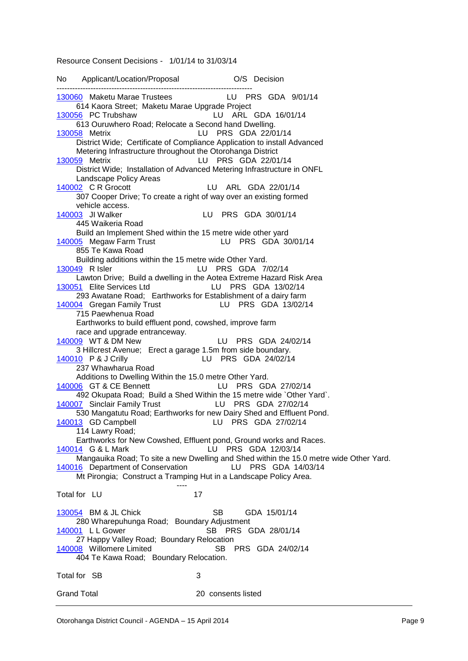Resource Consent Decisions - 1/01/14 to 31/03/14

No Applicant/Location/Proposal O/S Decision --------------------------------------------------------------------------- [130060](http://ncs-unix.otodc.govt.nz/cgi-bin/reg/rg6ep?130060) Maketu Marae Trustees LU PRS GDA 9/01/14 614 Kaora Street; Maketu Marae Upgrade Project [130056](http://ncs-unix.otodc.govt.nz/cgi-bin/reg/rg6ep?130056) PC Trubshaw LU ARL GDA 16/01/14 613 Ouruwhero Road; Relocate a Second hand Dwelling.<br>130058 Metrix LU PRS GDA 22/0 LU PRS GDA 22/01/14 District Wide; Certificate of Compliance Application to install Advanced Metering Infrastructure throughout the Otorohanga District [130059](http://ncs-unix.otodc.govt.nz/cgi-bin/reg/rg6ep?130059) Metrix LU PRS GDA 22/01/14 District Wide; Installation of Advanced Metering Infrastructure in ONFL Landscape Policy Areas [140002](http://ncs-unix.otodc.govt.nz/cgi-bin/reg/rg6ep?140002) C R Grocott LU ARL GDA 22/01/14 307 Cooper Drive; To create a right of way over an existing formed vehicle access. [140003](http://ncs-unix.otodc.govt.nz/cgi-bin/reg/rg6ep?140003) JI Walker LU PRS GDA 30/01/14 445 Waikeria Road Build an Implement Shed within the 15 metre wide other yard [140005](http://ncs-unix.otodc.govt.nz/cgi-bin/reg/rg6ep?140005) Megaw Farm Trust LU PRS GDA 30/01/14 855 Te Kawa Road Building additions within the 15 metre wide Other Yard. [130049](http://ncs-unix.otodc.govt.nz/cgi-bin/reg/rg6ep?130049) R Isler LU PRS GDA 7/02/14 Lawton Drive; Build a dwelling in the Aotea Extreme Hazard Risk Area [130051](http://ncs-unix.otodc.govt.nz/cgi-bin/reg/rg6ep?130051) Elite Services Ltd LU PRS GDA 13/02/14 293 Awatane Road; Earthworks for Establishment of a dairy farm [140004](http://ncs-unix.otodc.govt.nz/cgi-bin/reg/rg6ep?140004) Gregan Family Trust LU PRS GDA 13/02/14 715 Paewhenua Road Earthworks to build effluent pond, cowshed, improve farm race and upgrade entranceway. [140009](http://ncs-unix.otodc.govt.nz/cgi-bin/reg/rg6ep?140009) WT & DM New LU PRS GDA 24/02/14 3 Hillcrest Avenue; Erect a garage 1.5m from side boundary. [140010](http://ncs-unix.otodc.govt.nz/cgi-bin/reg/rg6ep?140010) P & J Crilly LU PRS GDA 24/02/14 237 Whawharua Road Additions to Dwelling Within the 15.0 metre Other Yard. [140006](http://ncs-unix.otodc.govt.nz/cgi-bin/reg/rg6ep?140006) GT & CE Bennett LU PRS GDA 27/02/14 492 Okupata Road; Build a Shed Within the 15 metre wide `Other Yard`. [140007](http://ncs-unix.otodc.govt.nz/cgi-bin/reg/rg6ep?140007) Sinclair Family Trust LU PRS GDA 27/02/14 530 Mangatutu Road; Earthworks for new Dairy Shed and Effluent Pond. [140013](http://ncs-unix.otodc.govt.nz/cgi-bin/reg/rg6ep?140013) GD Campbell LU PRS GDA 27/02/14 114 Lawry Road; Earthworks for New Cowshed, Effluent pond, Ground works and Races. [140014](http://ncs-unix.otodc.govt.nz/cgi-bin/reg/rg6ep?140014) G & L Mark LU PRS GDA 12/03/14 Mangauika Road; To site a new Dwelling and Shed within the 15.0 metre wide Other Yard. [140016](http://ncs-unix.otodc.govt.nz/cgi-bin/reg/rg6ep?140016) Department of Conservation LU PRS GDA 14/03/14 Mt Pirongia; Construct a Tramping Hut in a Landscape Policy Area. ---- Total for LU 17 [130054](http://ncs-unix.otodc.govt.nz/cgi-bin/reg/rg6ep?130054) BM & JL Chick SB GDA 15/01/14 280 Wharepuhunga Road; Boundary Adjustment [140001](http://ncs-unix.otodc.govt.nz/cgi-bin/reg/rg6ep?140001) L L Gower SB PRS GDA 28/01/14 27 Happy Valley Road; Boundary Relocation [140008](http://ncs-unix.otodc.govt.nz/cgi-bin/reg/rg6ep?140008) Willomere Limited SB PRS GDA 24/02/14 404 Te Kawa Road; Boundary Relocation. Total for SB 3 Grand Total 20 consents listed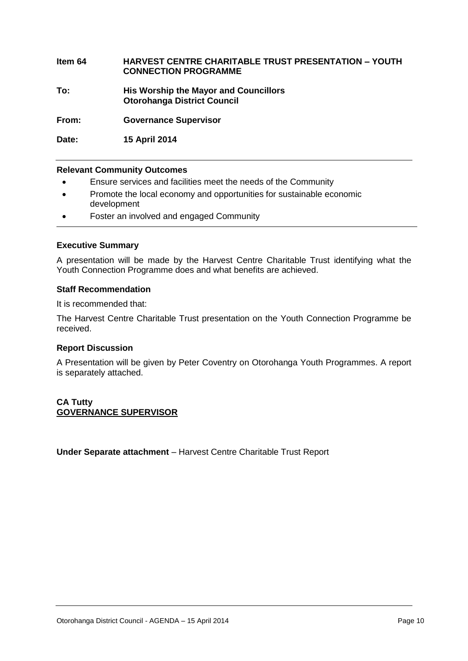#### **Item 64 HARVEST CENTRE CHARITABLE TRUST PRESENTATION – YOUTH CONNECTION PROGRAMME**

**To: His Worship the Mayor and Councillors Otorohanga District Council**

**From: Governance Supervisor**

**Date: 15 April 2014**

#### **Relevant Community Outcomes**

- Ensure services and facilities meet the needs of the Community
- Promote the local economy and opportunities for sustainable economic development
- Foster an involved and engaged Community

#### **Executive Summary**

A presentation will be made by the Harvest Centre Charitable Trust identifying what the Youth Connection Programme does and what benefits are achieved.

#### **Staff Recommendation**

It is recommended that:

The Harvest Centre Charitable Trust presentation on the Youth Connection Programme be received.

#### **Report Discussion**

A Presentation will be given by Peter Coventry on Otorohanga Youth Programmes. A report is separately attached.

#### **CA Tutty GOVERNANCE SUPERVISOR**

**Under Separate attachment** – Harvest Centre Charitable Trust Report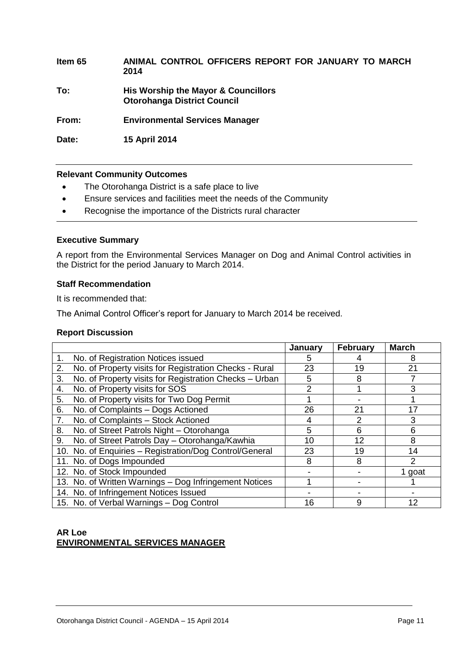**Item 65 ANIMAL CONTROL OFFICERS REPORT FOR JANUARY TO MARCH 2014 To: His Worship the Mayor & Councillors Otorohanga District Council From: Environmental Services Manager Date: 15 April 2014**

#### **Relevant Community Outcomes**

- The Otorohanga District is a safe place to live
- Ensure services and facilities meet the needs of the Community
- Recognise the importance of the Districts rural character

#### **Executive Summary**

A report from the Environmental Services Manager on Dog and Animal Control activities in the District for the period January to March 2014.

#### **Staff Recommendation**

It is recommended that:

The Animal Control Officer's report for January to March 2014 be received.

#### **Report Discussion**

|                |                                                         | January | February | <b>March</b>  |
|----------------|---------------------------------------------------------|---------|----------|---------------|
| 1.             | No. of Registration Notices issued                      | 5       |          | 8             |
| 2.             | No. of Property visits for Registration Checks - Rural  | 23      | 19       | 21            |
| 3.             | No. of Property visits for Registration Checks - Urban  | 5       | 8        |               |
| 4.             | No. of Property visits for SOS                          | 2       |          | 3             |
| 5.             | No. of Property visits for Two Dog Permit               |         |          |               |
| 6.             | No. of Complaints - Dogs Actioned                       | 26      | 21       | 17            |
| 7 <sub>1</sub> | No. of Complaints - Stock Actioned                      |         | 2        | 3             |
| 8.             | No. of Street Patrols Night - Otorohanga                | 5       | 6        | 6             |
| 9.             | No. of Street Patrols Day - Otorohanga/Kawhia           | 10      | 12       | 8             |
|                | 10. No. of Enquiries - Registration/Dog Control/General | 23      | 19       | 14            |
|                | 11. No. of Dogs Impounded                               | 8       | 8        | $\mathcal{P}$ |
|                | 12. No. of Stock Impounded                              |         |          | goat          |
|                | 13. No. of Written Warnings - Dog Infringement Notices  |         |          |               |
|                | 14. No. of Infringement Notices Issued                  |         |          |               |
|                | 15. No. of Verbal Warnings - Dog Control                | 16      | 9        | 12            |

#### **AR Loe ENVIRONMENTAL SERVICES MANAGER**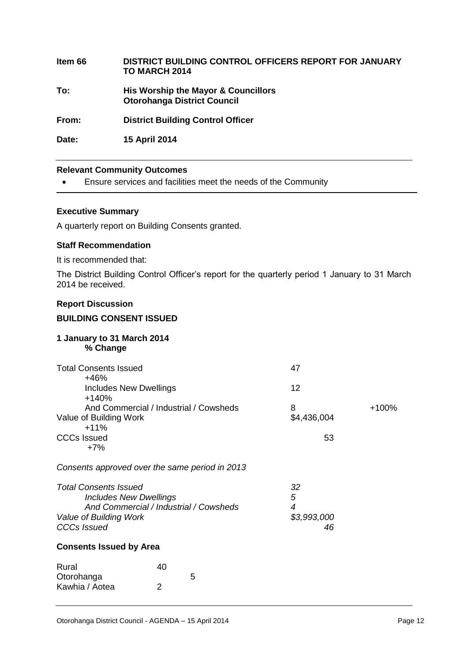**Item 66 DISTRICT BUILDING CONTROL OFFICERS REPORT FOR JANUARY TO MARCH 2014 To: His Worship the Mayor & Councillors Otorohanga District Council From: District Building Control Officer Date: 15 April 2014**

#### **Relevant Community Outcomes**

Ensure services and facilities meet the needs of the Community

#### **Executive Summary**

A quarterly report on Building Consents granted.

#### **Staff Recommendation**

It is recommended that:

The District Building Control Officer's report for the quarterly period 1 January to 31 March 2014 be received.

#### **Report Discussion**

#### **BUILDING CONSENT ISSUED**

#### **1 January to 31 March 2014 % Change**

| <b>Total Consents Issued</b>            | 47          |         |
|-----------------------------------------|-------------|---------|
| $+46%$<br><b>Includes New Dwellings</b> | 12          |         |
| $+140%$                                 |             |         |
| And Commercial / Industrial / Cowsheds  | 8           | $+100%$ |
| Value of Building Work                  | \$4,436,004 |         |
| $+11%$                                  |             |         |
| <b>CCCs Issued</b>                      | 53          |         |
| $+7%$                                   |             |         |
|                                         |             |         |

*Consents approved over the same period in 2013*

| <b>Total Consents Issued</b>           | 32          |
|----------------------------------------|-------------|
| <b>Includes New Dwellings</b>          | 5           |
| And Commercial / Industrial / Cowsheds | ⊿           |
| Value of Building Work                 | \$3,993,000 |
| <b>CCCs Issued</b>                     | 46          |

#### **Consents Issued by Area**

| Rural          | 40 |   |
|----------------|----|---|
| Otorohanga     |    | 5 |
| Kawhia / Aotea | 2  |   |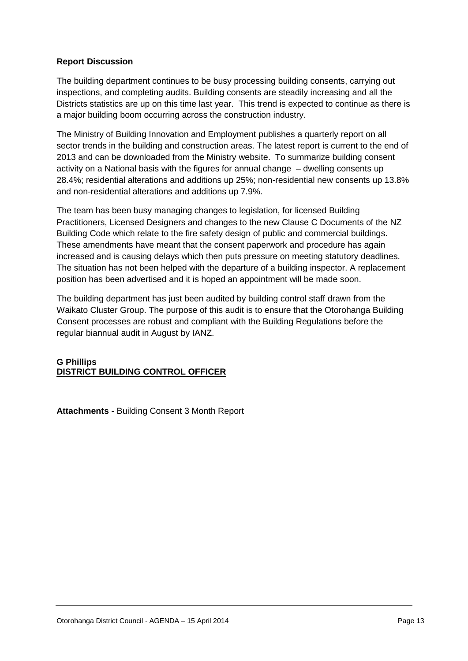#### **Report Discussion**

The building department continues to be busy processing building consents, carrying out inspections, and completing audits. Building consents are steadily increasing and all the Districts statistics are up on this time last year. This trend is expected to continue as there is a major building boom occurring across the construction industry.

The Ministry of Building Innovation and Employment publishes a quarterly report on all sector trends in the building and construction areas. The latest report is current to the end of 2013 and can be downloaded from the Ministry website. To summarize building consent activity on a National basis with the figures for annual change – dwelling consents up 28.4%; residential alterations and additions up 25%; non-residential new consents up 13.8% and non-residential alterations and additions up 7.9%.

The team has been busy managing changes to legislation, for licensed Building Practitioners, Licensed Designers and changes to the new Clause C Documents of the NZ Building Code which relate to the fire safety design of public and commercial buildings. These amendments have meant that the consent paperwork and procedure has again increased and is causing delays which then puts pressure on meeting statutory deadlines. The situation has not been helped with the departure of a building inspector. A replacement position has been advertised and it is hoped an appointment will be made soon.

The building department has just been audited by building control staff drawn from the Waikato Cluster Group. The purpose of this audit is to ensure that the Otorohanga Building Consent processes are robust and compliant with the Building Regulations before the regular biannual audit in August by IANZ.

#### **G Phillips DISTRICT BUILDING CONTROL OFFICER**

**Attachments -** Building Consent 3 Month Report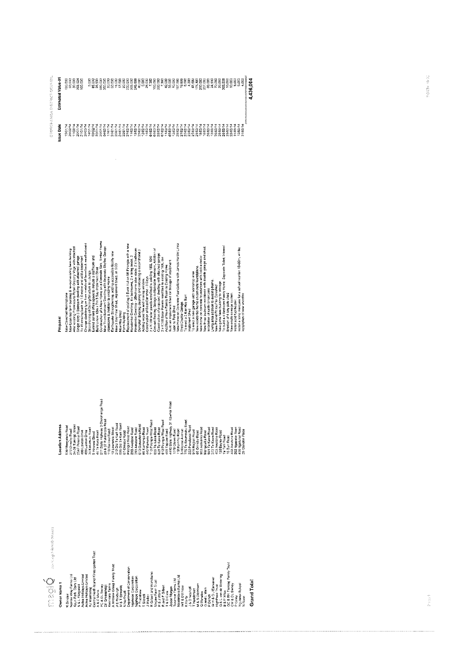| CCURCS<br>aict<br>i<br>Cisi                 | ę<br>å<br>5<br>ъ<br>stimate<br>ш | g<br>g<br>30.000<br>303.924<br>ន្លឺ<br>۰.<br>20  | g<br>8<br>-       | 8<br>8<br>⇔<br>÷<br>1の100 | ŝ<br>÷<br>۰.<br>窝 | g<br>300,000<br>500 | g<br>۰.<br>នន | g<br>g<br>۰.<br>۰.<br>Đ | §<br>ន<br>÷ | g<br>g<br>۰.<br>350            | g<br>۰.<br>g | g<br>т.<br>g<br>Ñ    | 40,000<br>40,000<br>25,000 |                        | g<br>Ş<br>÷.<br>$\overline{5}$<br>r. | g<br>200 | g<br>Ş<br>÷.<br>ь.             | g<br>т.<br>'ជូ'ន | 10,000<br>56<br>÷ | 8<br>菩萨   | g<br>۰.<br>െ | န္တ<br>g<br>ह<br>₩               | ₽<br>176.   | c<br>ō<br><b>RES</b> | ŝ<br>ā                | 80,000<br>24,530<br>70,000 |                 | 29,000<br>និ<br>S,<br>m | $\Omega$<br>18,000 | g<br>a | $\circ$<br>5,00     | 5.00<br>ğ<br>÷                  | ₹<br>g<br>436.<br>ъ.<br>d |
|---------------------------------------------|----------------------------------|--------------------------------------------------|-------------------|---------------------------|-------------------|---------------------|---------------|-------------------------|-------------|--------------------------------|--------------|----------------------|----------------------------|------------------------|--------------------------------------|----------|--------------------------------|------------------|-------------------|-----------|--------------|----------------------------------|-------------|----------------------|-----------------------|----------------------------|-----------------|-------------------------|--------------------|--------|---------------------|---------------------------------|---------------------------|
| đ,<br>A8G.<br>-5<br>وشر<br>TOROT<br>$\circ$ | त<br>ö<br>g                      | 25/02/1<br>1102/1<br>ξ,<br>201017<br>5<br>Ŵ<br>٠ | 21/01/1<br>25/03/ | 03/02/<br>14101           | <b>CADE</b>       | 04/02/1<br>201017   | 1770          | Ξ<br>2010<br>SIND       | 4/01/1<br>ŵ | 2/01/1<br>1001<br>$\sim$<br>٨i | 102          | 13/02/<br>5/02/<br>Ñ | 2002'                      | 4/02/<br><b>Select</b> | 04/02/<br>ले<br>S<br>S               | 28/02/   | 7/02/<br>1/0.3t<br>5<br>$\sim$ | 5/02/<br>ö       | 28/02/<br>202     | 1/12<br>Ñ | 3/02/<br>Ň   | angir<br>šos<br>$\sim$<br>$\sim$ | ŏ<br>Ŝ<br>Ñ | 9,03/<br>мř          | 26/03/<br>a<br>S<br>÷ | 2/0.3<br>$\mathbf{v}$      | 6/03/<br>$\sim$ | 25/03/<br>26/03/        | ÈGIS<br>Ñ.         | ŝ<br>ਕ | œ,<br>ë<br>$\sigma$ | rear.<br>1,03<br>- 62<br>$\sim$ |                           |

| Proposal                                                                                                                                                                                                                                                                                                                                                                                                                                                                                                                                                                                                                                                                                                                                                          |
|-------------------------------------------------------------------------------------------------------------------------------------------------------------------------------------------------------------------------------------------------------------------------------------------------------------------------------------------------------------------------------------------------------------------------------------------------------------------------------------------------------------------------------------------------------------------------------------------------------------------------------------------------------------------------------------------------------------------------------------------------------------------|
| Build a new 12m x 7m 3 Bay implement Shed<br>Construction of a New Home on a Concrete Slab, Timber Frame<br>Change cladding type from metalcraft bevelback weathsrboard<br>Strenthening of Celling Structure to Lounge<br>New Three Bedroom Dwelling with Seperate Skyline Garage<br>Alter existing Premises to Retail Groccry Vege with attached<br>New Lean too farm building & re-root existing farm building<br>Earthquake Strengthening, adding accessible facility new<br>Extend current office space to include a staffroom and<br>Single story 3 Bedroom dwelling with attached garage<br>To lift existing back by 1.0 motre and add a basement<br>Alterations & Addition to existing Home<br>New Covshed Herringtone                                     |
| Replacement of oxisting 3 Bunk Hut on Mt Pirongia with a new<br>Residential Dwelling, 4 x bedrooms, 2 x living oress, 2<br>Residential Dwelling - 3Bedrooms plus study, 2 x battroom<br>Convert Existing Garage to Habitable Bedroom, Addition of<br>Construction of proposed dwelling with attached garage<br>Demotish Existing dwelling and relocating a secondhand 3<br>2 x K:80 solar panels retrofitted to existing 180L 10W<br>2 x K:30 Solar Panels retrofitied to existing 180L low<br>Addition of New Family Room to Existing Home<br>Build an Implement Shed for Slorage of equipment<br>New 3 Bay Pole Shed, implement Shed, all SED<br>New Hay Shed<br>Construction of Boat/Car shed - 3 Bays<br>Adding wood fire and moving window.<br>Farm Building |
| New Home on Concrete Foundations with James Hardie Linea<br>To erect a new garage with workshop area.<br>New residential home on concrete foundations.<br>To elect a 2 Bay Hay Barn<br>Erect Double Garage<br>Lean to Pole Shed<br>Implement Shed                                                                                                                                                                                                                                                                                                                                                                                                                                                                                                                 |
| To build a 4 Bedroom Family Home. Separate Toilet, internal<br>New home on concrete foundations with brick exterior.<br>New three bedroom residence with double garage and shed.<br>install a temp marquee for a school reunion 15x30m, will be<br>Installation of new voodfire<br>Living area addition to existing home.<br>New gable farm building for storage.<br>New Pilland Pit roof for Cowshed<br>nstallation of cattle Underpass<br>New onsile sewage system.<br>Install sciid fuol heater.<br>Erection of 4 bay pole shed                                                                                                                                                                                                                                |

 $\begin{tabular}{ll} $\bigcap_{i=1}^{n} \bigcap_{i=1}^{n} \bigcap_{i=1}^{n} \bigcap_{i=1}^{n} \bigcap_{i=1}^{n} \bigcap_{i=1}^{n} \bigcap_{i=1}^{n} \bigcap_{i=1}^{n} \bigcap_{i=1}^{n} \bigcap_{i=1}^{n} \bigcap_{i=1}^{n} \bigcap_{i=1}^{n} \bigcap_{i=1}^{n} \bigcap_{i=1}^{n} \bigcap_{i=1}^{n} \bigcap_{i=1}^{n} \bigcap_{i=1}^{n} \bigcap_{i=1}^{n} \bigcap_{i=1}^{n} \bigcap$ 

| Location Address | S11 State Highway 3 Otorohanga Road<br>4410 State Highway 31 Kowhia Road<br>29 & 37 Puketarata Road<br>775 Te Raumauku Road<br>713 Pirongia West Road<br>513 Pirongia West Road<br>213 Old Te Kuiti Road<br>906 Old Te Kuiti Road<br>613 Duruwhero Road<br>24-26 Turongo Street<br>530 Mangatutu Road<br>222 Puketawai Road<br>Pirongia West Road<br>254F Pekanul Road<br>10 Lawrence Street<br>932 Actearca Road<br><b>C55 Te Kawa Road</b><br>591 Te Kawa Road<br>60 Kalmango Road<br>629 Te Kawa Road<br>272 Te Kawa Road<br>402 Awatane Road<br>34 Kakamutu Road<br>293 Awatane Road<br>293 Awatane Road<br>445 Waikeria Road<br><b>409 Tapuae Road</b><br>118 Hurrimu Road<br>272 Ormsby Road<br><b>SHIICrest Avenue</b><br>1278 Otevra Road<br>118 Hurrimu Road<br>916 Raglan Road<br>480 Lawton Drive<br>Mangauika Road<br>44 Te Kura Road<br>138 Bayley Road | 262 Ngapeke Road<br>400 Ngutunui Road<br>402 Awatane Road<br>26 Glendon Place |
|------------------|----------------------------------------------------------------------------------------------------------------------------------------------------------------------------------------------------------------------------------------------------------------------------------------------------------------------------------------------------------------------------------------------------------------------------------------------------------------------------------------------------------------------------------------------------------------------------------------------------------------------------------------------------------------------------------------------------------------------------------------------------------------------------------------------------------------------------------------------------------------------|-------------------------------------------------------------------------------|
|                  | 480 Lawton Drive<br>69 Ormsby Road<br>67 Ormsby Road<br><b>9 Hinewal Street</b><br>le Tahi Road<br>IB Burr Road                                                                                                                                                                                                                                                                                                                                                                                                                                                                                                                                                                                                                                                                                                                                                      |                                                                               |

Monagano,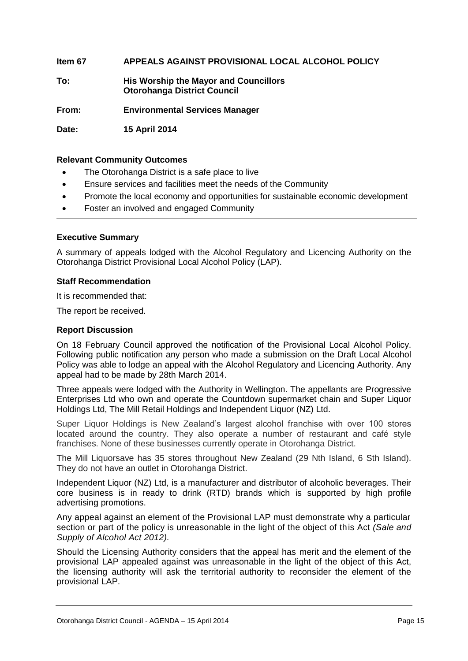**Item 67 APPEALS AGAINST PROVISIONAL LOCAL ALCOHOL POLICY** 

**To: His Worship the Mayor and Councillors Otorohanga District Council**

**From: Environmental Services Manager**

**Date: 15 April 2014**

#### **Relevant Community Outcomes**

- The Otorohanga District is a safe place to live
- Ensure services and facilities meet the needs of the Community
- Promote the local economy and opportunities for sustainable economic development
- Foster an involved and engaged Community

#### **Executive Summary**

A summary of appeals lodged with the Alcohol Regulatory and Licencing Authority on the Otorohanga District Provisional Local Alcohol Policy (LAP).

#### **Staff Recommendation**

It is recommended that:

The report be received.

#### **Report Discussion**

On 18 February Council approved the notification of the Provisional Local Alcohol Policy. Following public notification any person who made a submission on the Draft Local Alcohol Policy was able to lodge an appeal with the Alcohol Regulatory and Licencing Authority. Any appeal had to be made by 28th March 2014.

Three appeals were lodged with the Authority in Wellington. The appellants are Progressive Enterprises Ltd who own and operate the Countdown supermarket chain and Super Liquor Holdings Ltd, The Mill Retail Holdings and Independent Liquor (NZ) Ltd.

Super Liquor Holdings is New Zealand's largest alcohol franchise with over 100 stores located around the country. They also operate a number of restaurant and café style franchises. None of these businesses currently operate in Otorohanga District.

The Mill Liquorsave has 35 stores throughout New Zealand (29 Nth Island, 6 Sth Island). They do not have an outlet in Otorohanga District.

Independent Liquor (NZ) Ltd, is a manufacturer and distributor of alcoholic beverages. Their core business is in ready to drink (RTD) brands which is supported by high profile advertising promotions.

Any appeal against an element of the Provisional LAP must demonstrate why a particular section or part of the policy is unreasonable in the light of the object of this Act *(Sale and Supply of Alcohol Act 2012).*

Should the Licensing Authority considers that the appeal has merit and the element of the provisional LAP appealed against was unreasonable in the light of the object of this Act, the licensing authority will ask the territorial authority to reconsider the element of the provisional LAP.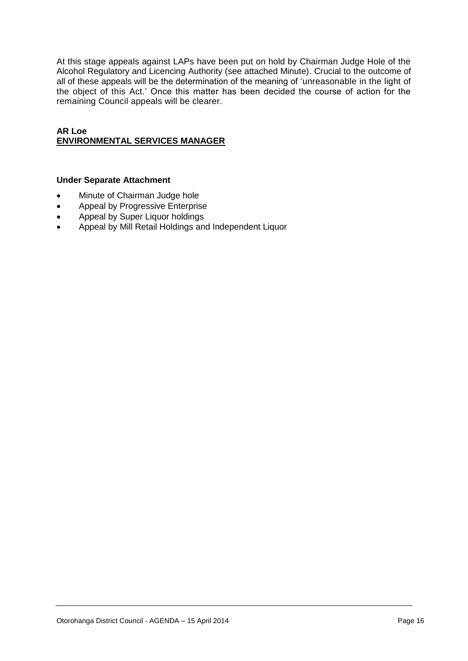At this stage appeals against LAPs have been put on hold by Chairman Judge Hole of the Alcohol Regulatory and Licencing Authority (see attached Minute). Crucial to the outcome of all of these appeals will be the determination of the meaning of 'unreasonable in the light of the object of this Act.' Once this matter has been decided the course of action for the remaining Council appeals will be clearer.

#### **AR Loe ENVIRONMENTAL SERVICES MANAGER**

#### **Under Separate Attachment**

- Minute of Chairman Judge hole
- Appeal by Progressive Enterprise
- Appeal by Super Liquor holdings
- Appeal by Mill Retail Holdings and Independent Liquor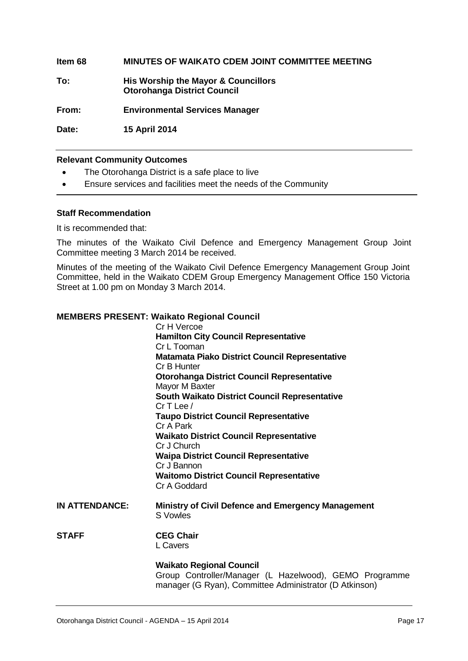#### **Item 68 MINUTES OF WAIKATO CDEM JOINT COMMITTEE MEETING**

**To: His Worship the Mayor & Councillors Otorohanga District Council**

**From: Environmental Services Manager**

**Date: 15 April 2014**

#### **Relevant Community Outcomes**

- The Otorohanga District is a safe place to live
- Ensure services and facilities meet the needs of the Community

#### **Staff Recommendation**

It is recommended that:

The minutes of the Waikato Civil Defence and Emergency Management Group Joint Committee meeting 3 March 2014 be received.

Minutes of the meeting of the Waikato Civil Defence Emergency Management Group Joint Committee, held in the Waikato CDEM Group Emergency Management Office 150 Victoria Street at 1.00 pm on Monday 3 March 2014.

#### **MEMBERS PRESENT: Waikato Regional Council**

|                       | Cr H Vercoe                                               |
|-----------------------|-----------------------------------------------------------|
|                       | <b>Hamilton City Council Representative</b>               |
|                       | Cr L Tooman                                               |
|                       | <b>Matamata Piako District Council Representative</b>     |
|                       | Cr B Hunter                                               |
|                       | <b>Otorohanga District Council Representative</b>         |
|                       | Mayor M Baxter                                            |
|                       | <b>South Waikato District Council Representative</b>      |
|                       | $CrT$ Lee $/$                                             |
|                       | <b>Taupo District Council Representative</b>              |
|                       | Cr A Park                                                 |
|                       | <b>Waikato District Council Representative</b>            |
|                       | Cr J Church                                               |
|                       | <b>Waipa District Council Representative</b>              |
|                       | Cr J Bannon                                               |
|                       | <b>Waitomo District Council Representative</b>            |
|                       | Cr A Goddard                                              |
| <b>IN ATTENDANCE:</b> | <b>Ministry of Civil Defence and Emergency Management</b> |
|                       | S Vowles                                                  |
|                       |                                                           |
| <b>STAFF</b>          | <b>CEG Chair</b>                                          |
|                       | L Cavers                                                  |
|                       |                                                           |
|                       | <b>Waikato Regional Council</b>                           |
|                       | Group Controller/Manager (L Hazelwood), GEMO Programme    |

manager (G Ryan), Committee Administrator (D Atkinson)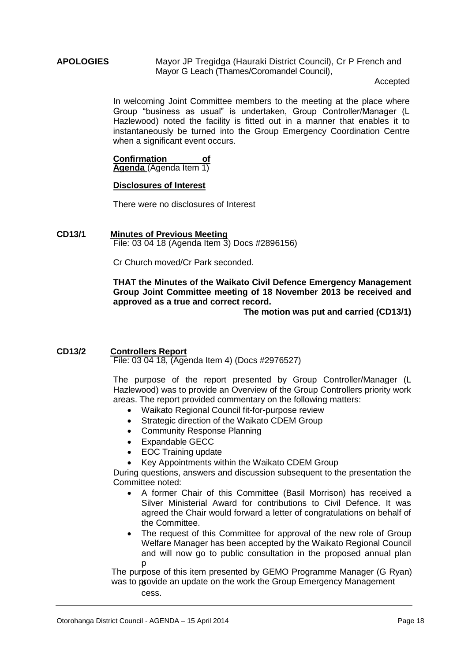#### **APOLOGIES** Mayor JP Tregidga (Hauraki District Council), Cr P French and Mayor G Leach (Thames/Coromandel Council),

Accepted

In welcoming Joint Committee members to the meeting at the place where Group "business as usual" is undertaken, Group Controller/Manager (L Hazlewood) noted the facility is fitted out in a manner that enables it to instantaneously be turned into the Group Emergency Coordination Centre when a significant event occurs.

**Confirmation of Agenda** (Agenda Item 1)

#### **Disclosures of Interest**

There were no disclosures of Interest

#### **CD13/1 Minutes of Previous Meeting**  File: 03 04 18 (Agenda Item 3) Docs #2896156)

Cr Church moved/Cr Park seconded.

#### **THAT the Minutes of the Waikato Civil Defence Emergency Management Group Joint Committee meeting of 18 November 2013 be received and approved as a true and correct record.**

**The motion was put and carried (CD13/1)**

#### **CD13/2 Controllers Report**

File: 03 04 18, (Agenda Item 4) (Docs #2976527)

The purpose of the report presented by Group Controller/Manager (L Hazlewood) was to provide an Overview of the Group Controllers priority work areas. The report provided commentary on the following matters:

- Waikato Regional Council fit-for-purpose review
- Strategic direction of the Waikato CDEM Group
- Community Response Planning
- Expandable GECC
- EOC Training update
- Key Appointments within the Waikato CDEM Group

During questions, answers and discussion subsequent to the presentation the Committee noted:

- A former Chair of this Committee (Basil Morrison) has received a Silver Ministerial Award for contributions to Civil Defence. It was agreed the Chair would forward a letter of congratulations on behalf of the Committee.
- The request of this Committee for approval of the new role of Group Welfare Manager has been accepted by the Waikato Regional Council and will now go to public consultation in the proposed annual plan p

The purpose of this item presented by GEMO Programme Manager (G Ryan) was to provide an update on the work the Group Emergency Management r cess.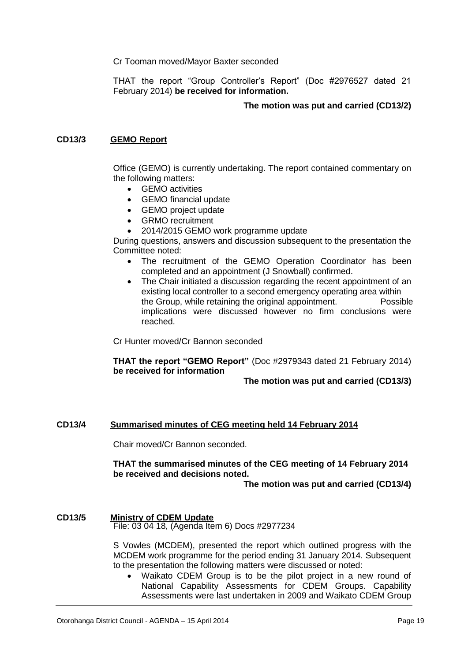Cr Tooman moved/Mayor Baxter seconded

THAT the report "Group Controller's Report" (Doc #2976527 dated 21 February 2014) **be received for information.**

#### **The motion was put and carried (CD13/2)**

#### **CD13/3 GEMO Report**

Office (GEMO) is currently undertaking. The report contained commentary on the following matters:

- **GEMO** activities
- GEMO financial update
- GEMO project update
- GRMO recruitment
- 2014/2015 GEMO work programme update

During questions, answers and discussion subsequent to the presentation the Committee noted:

- The recruitment of the GEMO Operation Coordinator has been completed and an appointment (J Snowball) confirmed.
- The Chair initiated a discussion regarding the recent appointment of an existing local controller to a second emergency operating area within the Group, while retaining the original appointment. Possible implications were discussed however no firm conclusions were reached.

Cr Hunter moved/Cr Bannon seconded

**THAT the report "GEMO Report"** (Doc #2979343 dated 21 February 2014) **be received for information**

#### **The motion was put and carried (CD13/3)**

#### **CD13/4 Summarised minutes of CEG meeting held 14 February 2014**

Chair moved/Cr Bannon seconded.

#### **THAT the summarised minutes of the CEG meeting of 14 February 2014 be received and decisions noted.**

**The motion was put and carried (CD13/4)**

#### **CD13/5 Ministry of CDEM Update**

File: 03 04 18, (Agenda Item 6) Docs #2977234

S Vowles (MCDEM), presented the report which outlined progress with the MCDEM work programme for the period ending 31 January 2014. Subsequent to the presentation the following matters were discussed or noted:

 Waikato CDEM Group is to be the pilot project in a new round of National Capability Assessments for CDEM Groups. Capability Assessments were last undertaken in 2009 and Waikato CDEM Group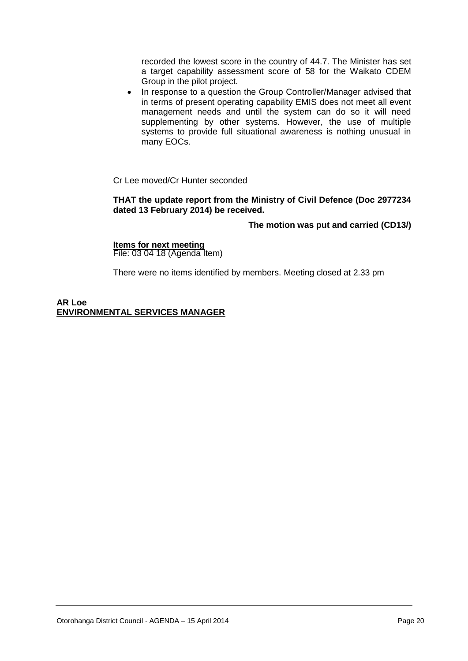recorded the lowest score in the country of 44.7. The Minister has set a target capability assessment score of 58 for the Waikato CDEM Group in the pilot project.

• In response to a question the Group Controller/Manager advised that in terms of present operating capability EMIS does not meet all event management needs and until the system can do so it will need supplementing by other systems. However, the use of multiple systems to provide full situational awareness is nothing unusual in many EOCs.

Cr Lee moved/Cr Hunter seconded

#### **THAT the update report from the Ministry of Civil Defence (Doc 2977234 dated 13 February 2014) be received.**

#### **The motion was put and carried (CD13/)**

**Items for next meeting** File: 03 04 18 (Agenda Item)

There were no items identified by members. Meeting closed at 2.33 pm

**AR Loe ENVIRONMENTAL SERVICES MANAGER**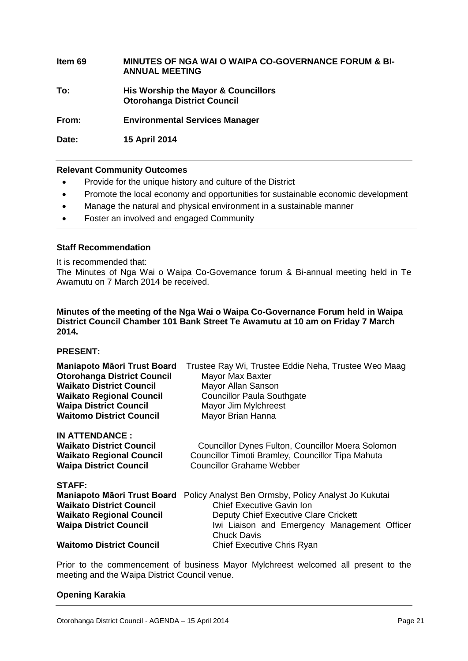**Item 69 MINUTES OF NGA WAI O WAIPA CO-GOVERNANCE FORUM & BI-ANNUAL MEETING To: His Worship the Mayor & Councillors Otorohanga District Council From: Environmental Services Manager Date: 15 April 2014**

#### **Relevant Community Outcomes**

- Provide for the unique history and culture of the District
- Promote the local economy and opportunities for sustainable economic development
- Manage the natural and physical environment in a sustainable manner
- Foster an involved and engaged Community

#### **Staff Recommendation**

It is recommended that: The Minutes of Nga Wai o Waipa Co-Governance forum & Bi-annual meeting held in Te Awamutu on 7 March 2014 be received.

#### **Minutes of the meeting of the Nga Wai o Waipa Co-Governance Forum held in Waipa District Council Chamber 101 Bank Street Te Awamutu at 10 am on Friday 7 March 2014.**

#### **PRESENT:**

| <b>Maniapoto Māori Trust Board</b>                                                                                           | Trustee Ray Wi, Trustee Eddie Neha, Trustee Weo Maag                                                                                              |
|------------------------------------------------------------------------------------------------------------------------------|---------------------------------------------------------------------------------------------------------------------------------------------------|
| <b>Otorohanga District Council</b>                                                                                           | Mayor Max Baxter                                                                                                                                  |
| <b>Waikato District Council</b>                                                                                              | Mayor Allan Sanson                                                                                                                                |
| <b>Waikato Regional Council</b>                                                                                              | <b>Councillor Paula Southgate</b>                                                                                                                 |
| <b>Waipa District Council</b>                                                                                                | Mayor Jim Mylchreest                                                                                                                              |
| <b>Waitomo District Council</b>                                                                                              | Mayor Brian Hanna                                                                                                                                 |
| <b>IN ATTENDANCE:</b><br><b>Waikato District Council</b><br><b>Waikato Regional Council</b><br><b>Waipa District Council</b> | <b>Councillor Dynes Fulton, Councillor Moera Solomon</b><br>Councillor Timoti Bramley, Councillor Tipa Mahuta<br><b>Councillor Grahame Webber</b> |
| STAFF:                                                                                                                       | Policy Analyst Ben Ormsby, Policy Analyst Jo Kukutai                                                                                              |
| <b>Maniapoto Māori Trust Board</b>                                                                                           | <b>Chief Executive Gavin Ion</b>                                                                                                                  |
| <b>Waikato District Council</b>                                                                                              | Deputy Chief Executive Clare Crickett                                                                                                             |
| <b>Waikato Regional Council</b>                                                                                              | Iwi Liaison and Emergency Management Officer                                                                                                      |
| <b>Waipa District Council</b>                                                                                                | <b>Chuck Davis</b>                                                                                                                                |
| <b>Waitomo District Council</b>                                                                                              | <b>Chief Executive Chris Ryan</b>                                                                                                                 |

Prior to the commencement of business Mayor Mylchreest welcomed all present to the meeting and the Waipa District Council venue.

#### **Opening Karakia**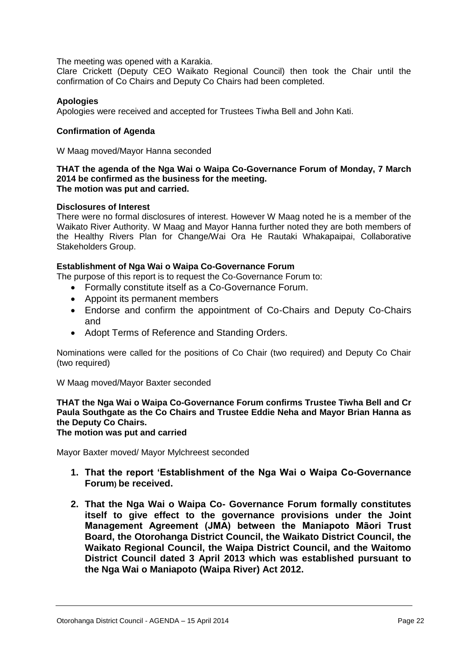The meeting was opened with a Karakia.

Clare Crickett (Deputy CEO Waikato Regional Council) then took the Chair until the confirmation of Co Chairs and Deputy Co Chairs had been completed.

#### **Apologies**

Apologies were received and accepted for Trustees Tiwha Bell and John Kati.

#### **Confirmation of Agenda**

W Maag moved/Mayor Hanna seconded

#### **THAT the agenda of the Nga Wai o Waipa Co-Governance Forum of Monday, 7 March 2014 be confirmed as the business for the meeting. The motion was put and carried.**

#### **Disclosures of Interest**

There were no formal disclosures of interest. However W Maag noted he is a member of the Waikato River Authority. W Maag and Mayor Hanna further noted they are both members of the Healthy Rivers Plan for Change/Wai Ora He Rautaki Whakapaipai, Collaborative Stakeholders Group.

#### **Establishment of Nga Wai o Waipa Co-Governance Forum**

The purpose of this report is to request the Co-Governance Forum to:

- Formally constitute itself as a Co-Governance Forum.
- Appoint its permanent members
- Endorse and confirm the appointment of Co-Chairs and Deputy Co-Chairs and
- Adopt Terms of Reference and Standing Orders.

Nominations were called for the positions of Co Chair (two required) and Deputy Co Chair (two required)

W Maag moved/Mayor Baxter seconded

#### **THAT the Nga Wai o Waipa Co-Governance Forum confirms Trustee Tiwha Bell and Cr Paula Southgate as the Co Chairs and Trustee Eddie Neha and Mayor Brian Hanna as the Deputy Co Chairs.**

**The motion was put and carried**

Mayor Baxter moved/ Mayor Mylchreest seconded

- **1. That the report 'Establishment of the Nga Wai o Waipa Co-Governance Forum) be received.**
- **2. That the Nga Wai o Waipa Co- Governance Forum formally constitutes itself to give effect to the governance provisions under the Joint Management Agreement (JMA) between the Maniapoto Māori Trust Board, the Otorohanga District Council, the Waikato District Council, the Waikato Regional Council, the Waipa District Council, and the Waitomo District Council dated 3 April 2013 which was established pursuant to the Nga Wai o Maniapoto (Waipa River) Act 2012.**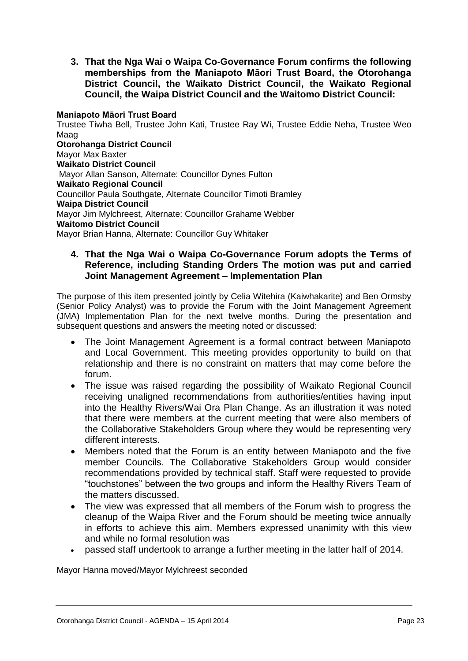**3. That the Nga Wai o Waipa Co-Governance Forum confirms the following memberships from the Maniapoto Māori Trust Board, the Otorohanga District Council, the Waikato District Council, the Waikato Regional Council, the Waipa District Council and the Waitomo District Council:**

#### **Maniapoto Māori Trust Board**

Trustee Tiwha Bell, Trustee John Kati, Trustee Ray Wi, Trustee Eddie Neha, Trustee Weo Maag

**Otorohanga District Council**  Mayor Max Baxter **Waikato District Council**  Mayor Allan Sanson, Alternate: Councillor Dynes Fulton **Waikato Regional Council**  Councillor Paula Southgate, Alternate Councillor Timoti Bramley **Waipa District Council**  Mayor Jim Mylchreest, Alternate: Councillor Grahame Webber **Waitomo District Council**  Mayor Brian Hanna, Alternate: Councillor Guy Whitaker

#### **4. That the Nga Wai o Waipa Co-Governance Forum adopts the Terms of Reference, including Standing Orders The motion was put and carried Joint Management Agreement – Implementation Plan**

The purpose of this item presented jointly by Celia Witehira (Kaiwhakarite) and Ben Ormsby (Senior Policy Analyst) was to provide the Forum with the Joint Management Agreement (JMA) Implementation Plan for the next twelve months. During the presentation and subsequent questions and answers the meeting noted or discussed:

- The Joint Management Agreement is a formal contract between Maniapoto and Local Government. This meeting provides opportunity to build on that relationship and there is no constraint on matters that may come before the forum.
- The issue was raised regarding the possibility of Waikato Regional Council receiving unaligned recommendations from authorities/entities having input into the Healthy Rivers/Wai Ora Plan Change. As an illustration it was noted that there were members at the current meeting that were also members of the Collaborative Stakeholders Group where they would be representing very different interests.
- Members noted that the Forum is an entity between Maniapoto and the five member Councils. The Collaborative Stakeholders Group would consider recommendations provided by technical staff. Staff were requested to provide "touchstones" between the two groups and inform the Healthy Rivers Team of the matters discussed.
- The view was expressed that all members of the Forum wish to progress the cleanup of the Waipa River and the Forum should be meeting twice annually in efforts to achieve this aim. Members expressed unanimity with this view and while no formal resolution was
- passed staff undertook to arrange a further meeting in the latter half of 2014.

Mayor Hanna moved/Mayor Mylchreest seconded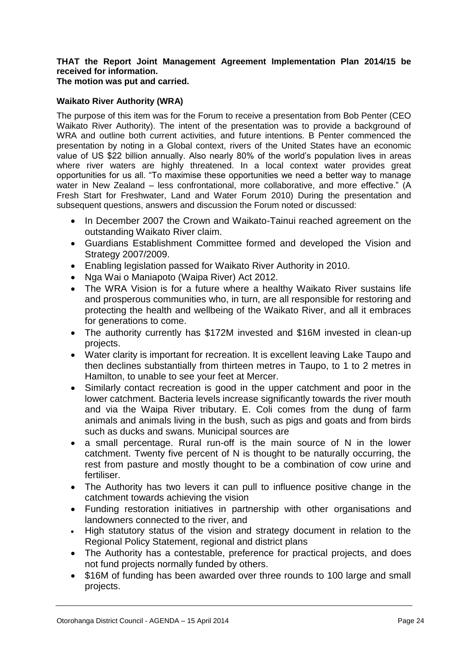#### **THAT the Report Joint Management Agreement Implementation Plan 2014/15 be received for information.**

**The motion was put and carried.**

#### **Waikato River Authority (WRA)**

The purpose of this item was for the Forum to receive a presentation from Bob Penter (CEO Waikato River Authority). The intent of the presentation was to provide a background of WRA and outline both current activities, and future intentions. B Penter commenced the presentation by noting in a Global context, rivers of the United States have an economic value of US \$22 billion annually. Also nearly 80% of the world's population lives in areas where river waters are highly threatened. In a local context water provides great opportunities for us all. "To maximise these opportunities we need a better way to manage water in New Zealand – less confrontational, more collaborative, and more effective." (A Fresh Start for Freshwater, Land and Water Forum 2010) During the presentation and subsequent questions, answers and discussion the Forum noted or discussed:

- In December 2007 the Crown and Waikato-Tainui reached agreement on the outstanding Waikato River claim.
- Guardians Establishment Committee formed and developed the Vision and Strategy 2007/2009.
- Enabling legislation passed for Waikato River Authority in 2010.
- Nga Wai o Maniapoto (Waipa River) Act 2012.
- The WRA Vision is for a future where a healthy Waikato River sustains life and prosperous communities who, in turn, are all responsible for restoring and protecting the health and wellbeing of the Waikato River, and all it embraces for generations to come.
- The authority currently has \$172M invested and \$16M invested in clean-up projects.
- Water clarity is important for recreation. It is excellent leaving Lake Taupo and then declines substantially from thirteen metres in Taupo, to 1 to 2 metres in Hamilton, to unable to see your feet at Mercer.
- Similarly contact recreation is good in the upper catchment and poor in the lower catchment. Bacteria levels increase significantly towards the river mouth and via the Waipa River tributary. E. Coli comes from the dung of farm animals and animals living in the bush, such as pigs and goats and from birds such as ducks and swans. Municipal sources are
- a small percentage. Rural run-off is the main source of N in the lower catchment. Twenty five percent of N is thought to be naturally occurring, the rest from pasture and mostly thought to be a combination of cow urine and fertiliser.
- The Authority has two levers it can pull to influence positive change in the catchment towards achieving the vision
- Funding restoration initiatives in partnership with other organisations and landowners connected to the river, and
- High statutory status of the vision and strategy document in relation to the Regional Policy Statement, regional and district plans
- The Authority has a contestable, preference for practical projects, and does not fund projects normally funded by others.
- \$16M of funding has been awarded over three rounds to 100 large and small projects.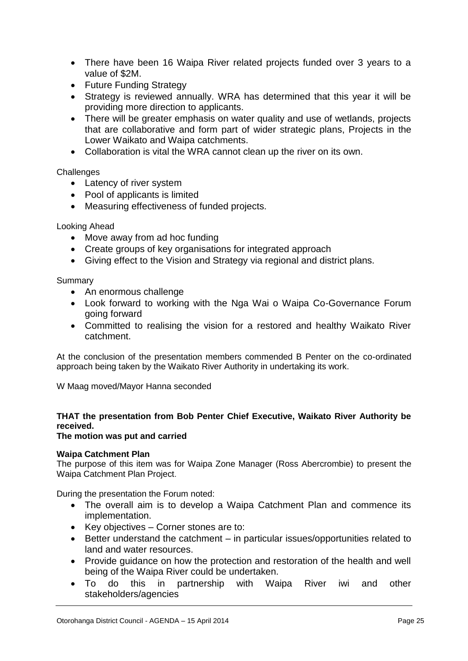- There have been 16 Waipa River related projects funded over 3 years to a value of \$2M.
- Future Funding Strategy
- Strategy is reviewed annually. WRA has determined that this year it will be providing more direction to applicants.
- There will be greater emphasis on water quality and use of wetlands, projects that are collaborative and form part of wider strategic plans, Projects in the Lower Waikato and Waipa catchments.
- Collaboration is vital the WRA cannot clean up the river on its own.

#### **Challenges**

- Latency of river system
- Pool of applicants is limited
- Measuring effectiveness of funded projects.

#### Looking Ahead

- Move away from ad hoc funding
- Create groups of key organisations for integrated approach
- Giving effect to the Vision and Strategy via regional and district plans.

Summary

- An enormous challenge
- Look forward to working with the Nga Wai o Waipa Co-Governance Forum going forward
- Committed to realising the vision for a restored and healthy Waikato River catchment.

At the conclusion of the presentation members commended B Penter on the co-ordinated approach being taken by the Waikato River Authority in undertaking its work.

W Maag moved/Mayor Hanna seconded

#### **THAT the presentation from Bob Penter Chief Executive, Waikato River Authority be received.**

#### **The motion was put and carried**

#### **Waipa Catchment Plan**

The purpose of this item was for Waipa Zone Manager (Ross Abercrombie) to present the Waipa Catchment Plan Project.

During the presentation the Forum noted:

- The overall aim is to develop a Waipa Catchment Plan and commence its implementation.
- Key objectives Corner stones are to:
- Better understand the catchment in particular issues/opportunities related to land and water resources.
- Provide guidance on how the protection and restoration of the health and well being of the Waipa River could be undertaken.
- To do this in partnership with Waipa River iwi and other stakeholders/agencies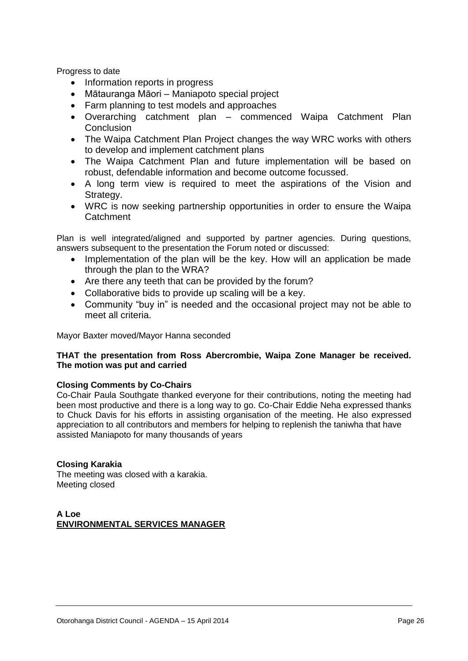Progress to date

- Information reports in progress
- Mātauranga Māori Maniapoto special project
- Farm planning to test models and approaches
- Overarching catchment plan commenced Waipa Catchment Plan **Conclusion**
- The Waipa Catchment Plan Project changes the way WRC works with others to develop and implement catchment plans
- The Waipa Catchment Plan and future implementation will be based on robust, defendable information and become outcome focussed.
- A long term view is required to meet the aspirations of the Vision and Strategy.
- WRC is now seeking partnership opportunities in order to ensure the Waipa **Catchment**

Plan is well integrated/aligned and supported by partner agencies. During questions, answers subsequent to the presentation the Forum noted or discussed:

- Implementation of the plan will be the key. How will an application be made through the plan to the WRA?
- Are there any teeth that can be provided by the forum?
- Collaborative bids to provide up scaling will be a key.
- Community "buy in" is needed and the occasional project may not be able to meet all criteria.

Mayor Baxter moved/Mayor Hanna seconded

#### **THAT the presentation from Ross Abercrombie, Waipa Zone Manager be received. The motion was put and carried**

#### **Closing Comments by Co-Chairs**

Co-Chair Paula Southgate thanked everyone for their contributions, noting the meeting had been most productive and there is a long way to go. Co-Chair Eddie Neha expressed thanks to Chuck Davis for his efforts in assisting organisation of the meeting. He also expressed appreciation to all contributors and members for helping to replenish the taniwha that have assisted Maniapoto for many thousands of years

#### **Closing Karakia**

The meeting was closed with a karakia. Meeting closed

#### **A Loe ENVIRONMENTAL SERVICES MANAGER**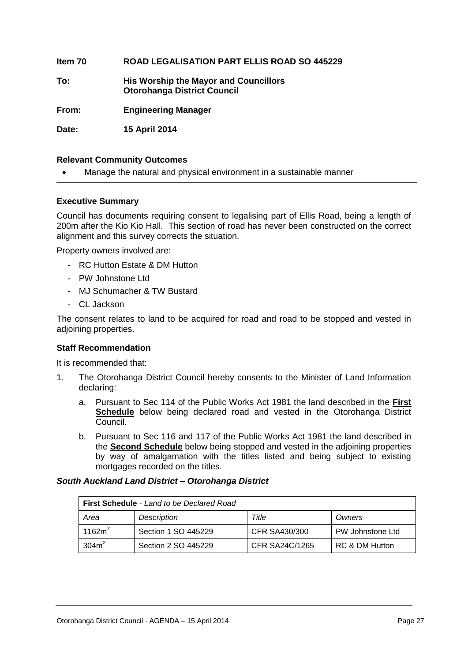#### **Item 70 ROAD LEGALISATION PART ELLIS ROAD SO 445229**

**To: His Worship the Mayor and Councillors Otorohanga District Council**

**From: Engineering Manager**

**Date: 15 April 2014**

#### **Relevant Community Outcomes**

Manage the natural and physical environment in a sustainable manner

#### **Executive Summary**

Council has documents requiring consent to legalising part of Ellis Road, being a length of 200m after the Kio Kio Hall. This section of road has never been constructed on the correct alignment and this survey corrects the situation.

Property owners involved are:

- RC Hutton Estate & DM Hutton
- PW Johnstone Ltd
- MJ Schumacher & TW Bustard
- CL Jackson

The consent relates to land to be acquired for road and road to be stopped and vested in adjoining properties.

#### **Staff Recommendation**

It is recommended that:

- 1. The Otorohanga District Council hereby consents to the Minister of Land Information declaring:
	- a. Pursuant to Sec 114 of the Public Works Act 1981 the land described in the **First Schedule** below being declared road and vested in the Otorohanga District Council.
	- b. Pursuant to Sec 116 and 117 of the Public Works Act 1981 the land described in the **Second Schedule** below being stopped and vested in the adjoining properties by way of amalgamation with the titles listed and being subject to existing mortgages recorded on the titles.

#### *South Auckland Land District – Otorohanga District*

| <b>First Schedule - Land to be Declared Road</b> |                     |                |                  |
|--------------------------------------------------|---------------------|----------------|------------------|
| Area                                             | <b>Description</b>  | Title          | Owners           |
| 1162 $m^2$                                       | Section 1 SO 445229 | CFR SA430/300  | PW Johnstone Ltd |
| 304m <sup>2</sup>                                | Section 2 SO 445229 | CFR SA24C/1265 | RC & DM Hutton   |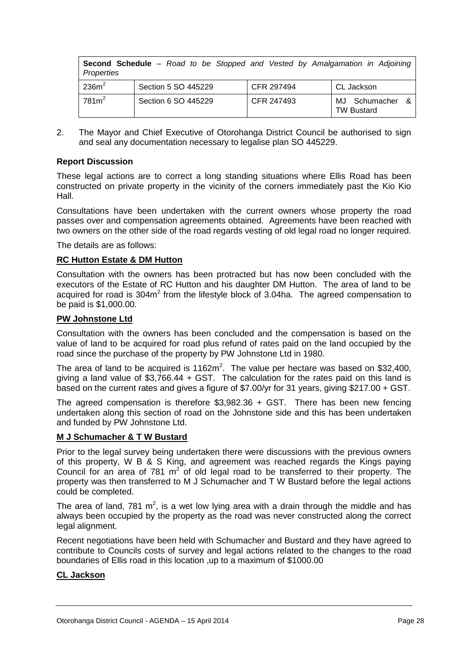| Properties        | <b>Second Schedule</b> – Road to be Stopped and Vested by Amalgamation in Adjoining |            |                                      |
|-------------------|-------------------------------------------------------------------------------------|------------|--------------------------------------|
| 236m <sup>2</sup> | Section 5 SO 445229                                                                 | CFR 297494 | CL Jackson                           |
| $781m^2$          | Section 6 SO 445229                                                                 | CFR 247493 | MJ Schumacher &<br><b>TW Bustard</b> |

2. The Mayor and Chief Executive of Otorohanga District Council be authorised to sign and seal any documentation necessary to legalise plan SO 445229.

#### **Report Discussion**

These legal actions are to correct a long standing situations where Ellis Road has been constructed on private property in the vicinity of the corners immediately past the Kio Kio Hall.

Consultations have been undertaken with the current owners whose property the road passes over and compensation agreements obtained. Agreements have been reached with two owners on the other side of the road regards vesting of old legal road no longer required.

The details are as follows:

#### **RC Hutton Estate & DM Hutton**

Consultation with the owners has been protracted but has now been concluded with the executors of the Estate of RC Hutton and his daughter DM Hutton. The area of land to be acquired for road is  $304m^2$  from the lifestyle block of 3.04ha. The agreed compensation to be paid is \$1,000.00.

#### **PW Johnstone Ltd**

Consultation with the owners has been concluded and the compensation is based on the value of land to be acquired for road plus refund of rates paid on the land occupied by the road since the purchase of the property by PW Johnstone Ltd in 1980.

The area of land to be acquired is  $1162m^2$ . The value per hectare was based on \$32,400, giving a land value of \$3,766.44 + GST. The calculation for the rates paid on this land is based on the current rates and gives a figure of \$7.00/yr for 31 years, giving \$217.00 + GST.

The agreed compensation is therefore \$3,982.36 + GST. There has been new fencing undertaken along this section of road on the Johnstone side and this has been undertaken and funded by PW Johnstone Ltd.

#### **M J Schumacher & T W Bustard**

Prior to the legal survey being undertaken there were discussions with the previous owners of this property, W B & S King, and agreement was reached regards the Kings paying Council for an area of  $781 \text{ m}^2$  of old legal road to be transferred to their property. The property was then transferred to M J Schumacher and T W Bustard before the legal actions could be completed.

The area of land, 781  $m^2$ , is a wet low lying area with a drain through the middle and has always been occupied by the property as the road was never constructed along the correct legal alignment.

Recent negotiations have been held with Schumacher and Bustard and they have agreed to contribute to Councils costs of survey and legal actions related to the changes to the road boundaries of Ellis road in this location ,up to a maximum of \$1000.00

#### **CL Jackson**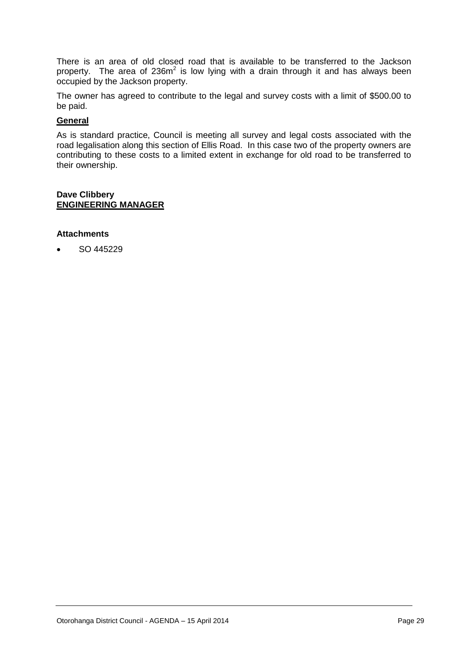There is an area of old closed road that is available to be transferred to the Jackson property. The area of 236 $m^2$  is low lying with a drain through it and has always been occupied by the Jackson property.

The owner has agreed to contribute to the legal and survey costs with a limit of \$500.00 to be paid.

#### **General**

As is standard practice, Council is meeting all survey and legal costs associated with the road legalisation along this section of Ellis Road. In this case two of the property owners are contributing to these costs to a limited extent in exchange for old road to be transferred to their ownership.

#### **Dave Clibbery ENGINEERING MANAGER**

#### **Attachments**

SO 445229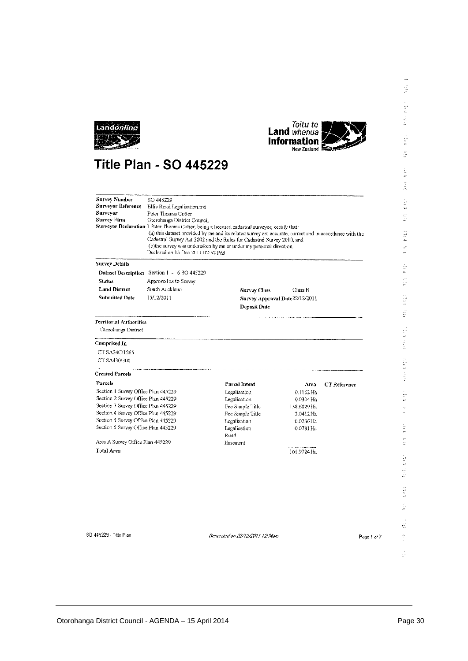



## **Title Plan - SO 445229**

| Survey Number<br>SO 445229<br>Surveyor Reference<br>Ellis Road Legalisation.nzt<br>Surveyor<br>Peter Thomas Cotter<br>Survey Firm<br>Otorohanga District Council<br>Surveyor Declaration 1 Peter Thomas Cotter, being a licensed cadastral surveyor, certify that:<br>(a) this dataset provided by me and its related survey are accurate, correct and in accordance with the<br>Cadastral Survey Act 2002 and the Rules for Cadastral Survey 2010, and<br>(b)the survey was undertaken by me or under my personal direction.<br>Declared on 15 Dec 2011 02:52 PM |                                             |                                 |             |                     |             |
|-------------------------------------------------------------------------------------------------------------------------------------------------------------------------------------------------------------------------------------------------------------------------------------------------------------------------------------------------------------------------------------------------------------------------------------------------------------------------------------------------------------------------------------------------------------------|---------------------------------------------|---------------------------------|-------------|---------------------|-------------|
| <b>Survey Details</b>                                                                                                                                                                                                                                                                                                                                                                                                                                                                                                                                             |                                             |                                 |             |                     |             |
|                                                                                                                                                                                                                                                                                                                                                                                                                                                                                                                                                                   | Dataset Description Section 1 - 6 SO 445229 |                                 |             |                     |             |
| <b>Status</b>                                                                                                                                                                                                                                                                                                                                                                                                                                                                                                                                                     | Approved as to Survey                       |                                 |             |                     |             |
| <b>Land District</b>                                                                                                                                                                                                                                                                                                                                                                                                                                                                                                                                              | South Auckland                              | <b>Survey Class</b>             | Class B     |                     |             |
| <b>Submitted Date</b>                                                                                                                                                                                                                                                                                                                                                                                                                                                                                                                                             | 15/12/2011                                  | Survey Approval Date 22/12/2011 |             |                     |             |
|                                                                                                                                                                                                                                                                                                                                                                                                                                                                                                                                                                   |                                             | Deposit Date                    |             |                     |             |
| <b>Territorial Authorities</b>                                                                                                                                                                                                                                                                                                                                                                                                                                                                                                                                    |                                             |                                 |             |                     |             |
| Otorohanga District                                                                                                                                                                                                                                                                                                                                                                                                                                                                                                                                               |                                             |                                 |             |                     |             |
| Comprised in                                                                                                                                                                                                                                                                                                                                                                                                                                                                                                                                                      |                                             |                                 |             |                     |             |
| CT SA24C/1265                                                                                                                                                                                                                                                                                                                                                                                                                                                                                                                                                     |                                             |                                 |             |                     |             |
| CT SA430/300                                                                                                                                                                                                                                                                                                                                                                                                                                                                                                                                                      |                                             |                                 |             |                     |             |
| <b>Created Parcels</b>                                                                                                                                                                                                                                                                                                                                                                                                                                                                                                                                            |                                             |                                 |             |                     |             |
| Parcels                                                                                                                                                                                                                                                                                                                                                                                                                                                                                                                                                           |                                             | Parcel Intent                   | Area        | <b>CT</b> Reference |             |
| Section 1 Survey Office Plan 445229                                                                                                                                                                                                                                                                                                                                                                                                                                                                                                                               |                                             | Legalisation                    | $0.1162$ Ha |                     |             |
| Section 2 Survey Office Plan 445229                                                                                                                                                                                                                                                                                                                                                                                                                                                                                                                               |                                             | Legalisation                    | $0.0304$ Ha |                     |             |
| Section 3 Survey Office Plan 445229                                                                                                                                                                                                                                                                                                                                                                                                                                                                                                                               |                                             | Fee Simple Title                | 158.6829 Ha |                     |             |
| Section 4 Survey Office Plan 445229                                                                                                                                                                                                                                                                                                                                                                                                                                                                                                                               |                                             | Fee Simple Title                | 0.0412 Ffa  |                     |             |
| Section 5 Survey Office Plan 445229                                                                                                                                                                                                                                                                                                                                                                                                                                                                                                                               |                                             | Legatisation                    | $0.0236$ Ha |                     |             |
| Section 6 Survey Office Plan 445229                                                                                                                                                                                                                                                                                                                                                                                                                                                                                                                               |                                             | Legalisation                    | 0.0781 Ha   |                     |             |
|                                                                                                                                                                                                                                                                                                                                                                                                                                                                                                                                                                   |                                             | Road                            |             |                     |             |
| Area A Survey Office Plan 445229                                                                                                                                                                                                                                                                                                                                                                                                                                                                                                                                  |                                             | Easement                        |             |                     |             |
| Total Ares                                                                                                                                                                                                                                                                                                                                                                                                                                                                                                                                                        |                                             |                                 | 161.9724 Ha |                     |             |
|                                                                                                                                                                                                                                                                                                                                                                                                                                                                                                                                                                   |                                             |                                 |             |                     |             |
| SD 445229 - Title Plan                                                                                                                                                                                                                                                                                                                                                                                                                                                                                                                                            |                                             | Generated on 22/12/2011 12:34am |             |                     | Page 1 of 7 |

 $\bar{\phi}$ 

 $\frac{1}{27}$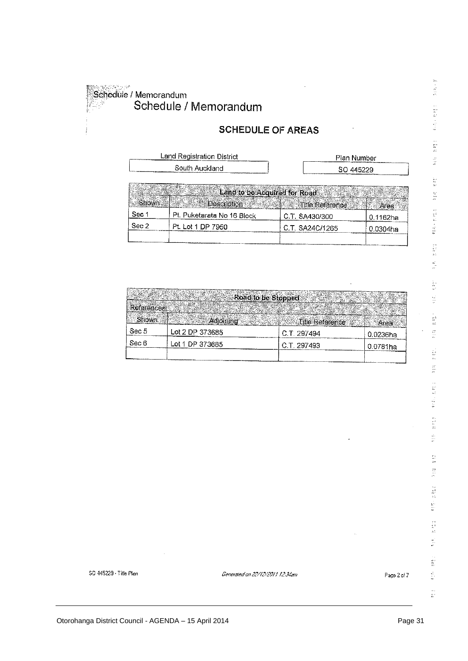.<br>Schedule / Memorandum Schedule / Memorandum

Pt. Puketarata No 16 Block

Pt. Lot 1 DP 7950

16

Sec 1

Sec 2

#### **SCHEDULE OF AREAS**

| <b>Land Registration District</b> | Plan Number     |
|-----------------------------------|-----------------|
| South Auckland                    | SO 445229       |
|                                   |                 |
| Land to be Acquired for Road      |                 |
| <b>Floscription</b>               | ो।lle Reference |

C.T. SA430/300

C.T. SA24C/1265

|                   | Road to be Stopped |                 |          |
|-------------------|--------------------|-----------------|----------|
| <b>References</b> |                    |                 |          |
| Shown             | Adioining          | Title Reference | Area     |
| Sec 5             | Lot 2 DP 373685    | C.T. 297494     | 0.0236ha |
| Sec 6             | Lot 1 DP 373685    | C.T. 297493     | 0.0781ha |
|                   |                    |                 |          |

 $\frac{1}{2}$  $\frac{d^2}{dt^2}$  $\frac{1}{2\pi}$  $\frac{1}{2}$ **REAK BREE EXE**  $\frac{d\phi}{dt}$  $\frac{1}{2}$  $\frac{1}{\sqrt{2}}$  $\bar{z} \bar{z}$  $\widetilde{\omega}$  $\frac{1}{2\pi}$ g.<br>Si  $\begin{bmatrix} 1 \\ 1 \\ 2 \end{bmatrix}$ i.<br>S  $\frac{1}{48}$  $\frac{1}{\omega}$ in<br>Ar je<br>D  $\begin{bmatrix} 1 \\ 2 \\ 3 \\ 4 \end{bmatrix}$  $\frac{1}{2}$  $\begin{bmatrix} 1 \\ 2 \\ 3 \\ 4 \end{bmatrix}$  $\frac{\partial}{\partial t}$  $\frac{2\pi}{2\pi}$  $\frac{\sqrt{3}}{4\pi}$  $\frac{1}{\hbar^2}$ 

 $\chi_{\rm ex}$ 

È

科尔哈特

0.1162ha

0.0304ha

Generated on 22/12/2011 12:34am

Page 2 of 7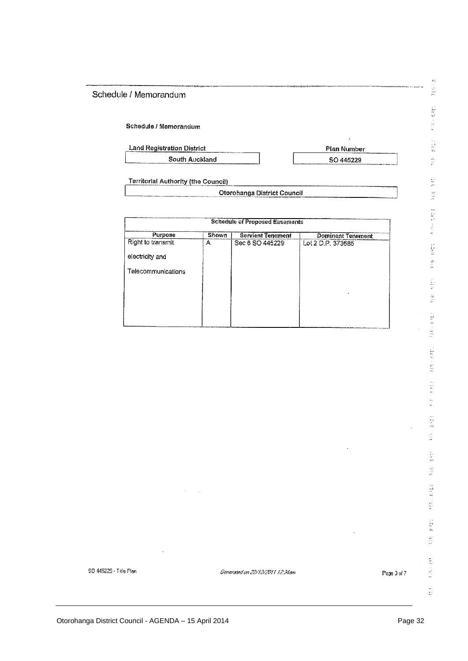#### Schedule / Memorandum

#### Schedule / Memorandum

| <b>Land Registration District</b> | Plan Number |
|-----------------------------------|-------------|
| South Auckland                    | SO 445229   |

 $\frac{1}{2}$ 

**Territorial Authority (the Council)** 

| Otorohanga District Council |  |
|-----------------------------|--|
|                             |  |

| <b>Schedule of Proposed Easements</b> |       |                          |                          |  |
|---------------------------------------|-------|--------------------------|--------------------------|--|
| Purpose                               | Shown | <b>Servient Tenement</b> | <b>Dominant Tenement</b> |  |
| Right to transmit                     | А     | Sec 6 SO 445229          | Lot 2 D.P. 373685        |  |
| electricity and                       |       |                          |                          |  |
| Telecommunications                    |       |                          |                          |  |
|                                       |       |                          |                          |  |
|                                       |       |                          |                          |  |
|                                       |       |                          |                          |  |
|                                       |       |                          |                          |  |

Generated on 22/12/2011 12:34am

Page 3 of 7

se.

l,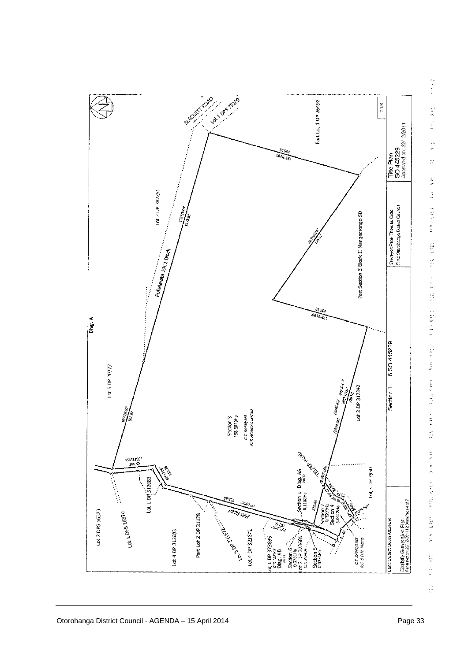

经定期 NEW BIRT RINK BREE 1449 年14 **SIE END** e<br>Fi 组织工程机  $5187 + 83117$ VIII VII **FIRE KILL TANK REAL** ser.  $\frac{d\phi}{dt}$ ÷.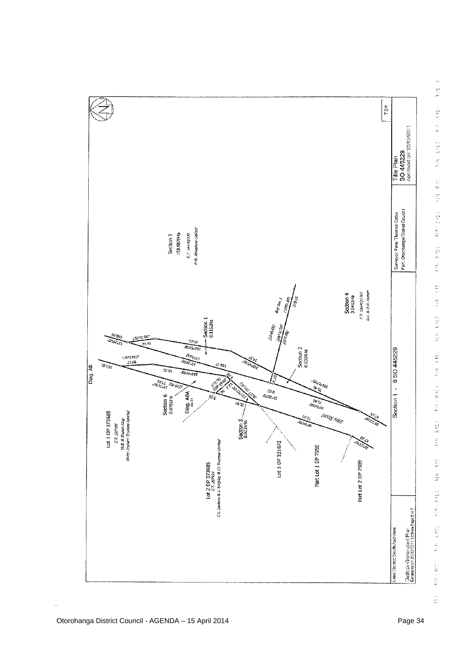

l.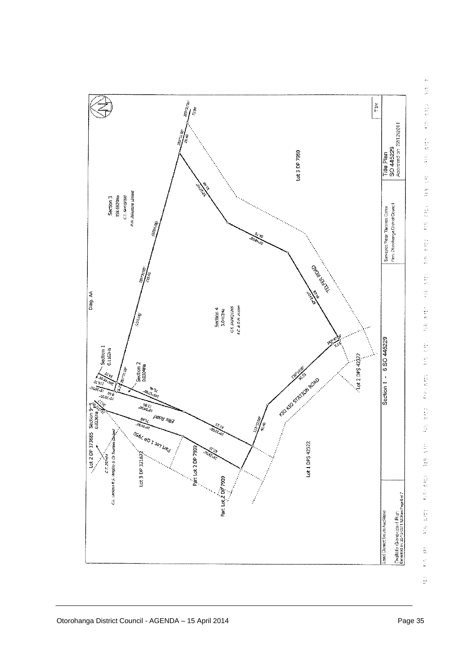

 $\frac{1}{2} \sum_{i=1}^{n} \frac{1}{2} \sum_{j=1}^{n} \frac{1}{2} \sum_{j=1}^{n} \frac{1}{2} \sum_{j=1}^{n} \frac{1}{2} \sum_{j=1}^{n} \frac{1}{2} \sum_{j=1}^{n} \frac{1}{2} \sum_{j=1}^{n} \frac{1}{2} \sum_{j=1}^{n} \frac{1}{2} \sum_{j=1}^{n} \frac{1}{2} \sum_{j=1}^{n} \frac{1}{2} \sum_{j=1}^{n} \frac{1}{2} \sum_{j=1}^{n} \frac{1}{2} \sum_{j=1}^{n$  $\frac{\partial}{\partial t}$ **SAME AND STREET** the state of the state of the state 经指令保险 (1) 東京 (1) The state of the state of the state of the state of the state of the state of the state of the state of the state of the state of the state of the state of the state of the state of the state of the state of the state of t 1. 6 197  $\frac{1}{2}$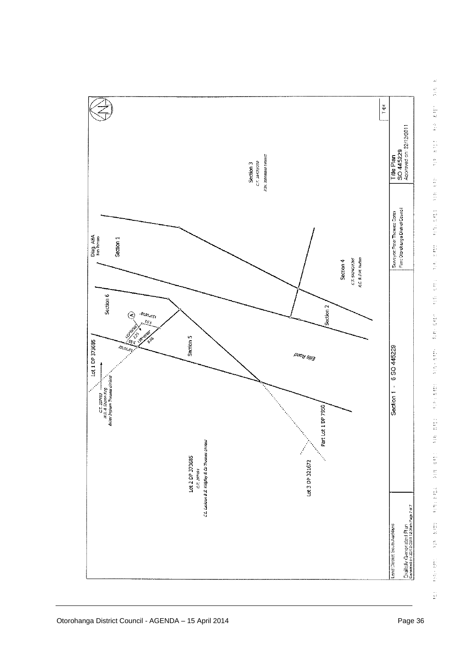



l.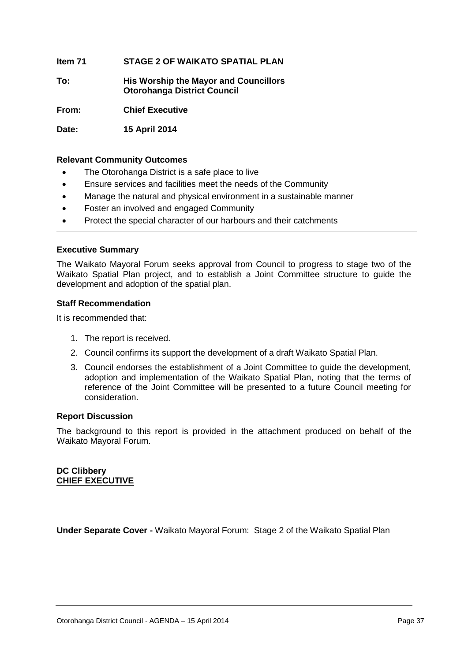**Item 71 STAGE 2 OF WAIKATO SPATIAL PLAN**

**To: His Worship the Mayor and Councillors Otorohanga District Council**

**From: Chief Executive**

**Date: 15 April 2014**

#### **Relevant Community Outcomes**

- The Otorohanga District is a safe place to live
- Ensure services and facilities meet the needs of the Community
- Manage the natural and physical environment in a sustainable manner
- Foster an involved and engaged Community
- Protect the special character of our harbours and their catchments

#### **Executive Summary**

The Waikato Mayoral Forum seeks approval from Council to progress to stage two of the Waikato Spatial Plan project, and to establish a Joint Committee structure to guide the development and adoption of the spatial plan.

#### **Staff Recommendation**

It is recommended that:

- 1. The report is received.
- 2. Council confirms its support the development of a draft Waikato Spatial Plan.
- 3. Council endorses the establishment of a Joint Committee to guide the development, adoption and implementation of the Waikato Spatial Plan, noting that the terms of reference of the Joint Committee will be presented to a future Council meeting for consideration.

#### **Report Discussion**

The background to this report is provided in the attachment produced on behalf of the Waikato Mayoral Forum.

**DC Clibbery CHIEF EXECUTIVE**

**Under Separate Cover -** Waikato Mayoral Forum: Stage 2 of the Waikato Spatial Plan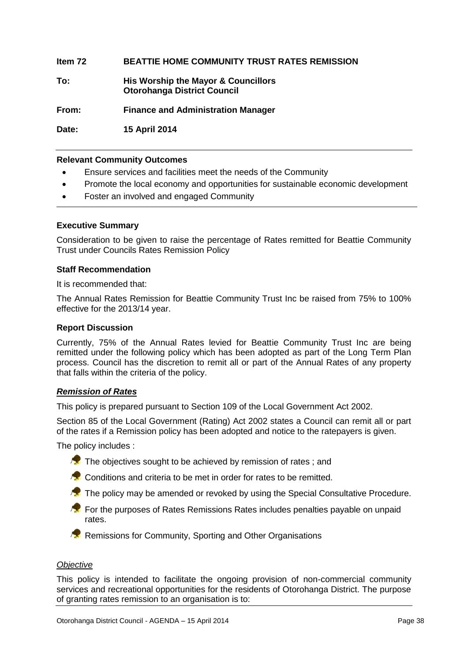#### **Item 72 BEATTIE HOME COMMUNITY TRUST RATES REMISSION**

**To: His Worship the Mayor & Councillors Otorohanga District Council**

**From: Finance and Administration Manager**

**Date: 15 April 2014**

#### **Relevant Community Outcomes**

- Ensure services and facilities meet the needs of the Community
- Promote the local economy and opportunities for sustainable economic development
- Foster an involved and engaged Community

#### **Executive Summary**

Consideration to be given to raise the percentage of Rates remitted for Beattie Community Trust under Councils Rates Remission Policy

#### **Staff Recommendation**

It is recommended that:

The Annual Rates Remission for Beattie Community Trust Inc be raised from 75% to 100% effective for the 2013/14 year.

#### **Report Discussion**

Currently, 75% of the Annual Rates levied for Beattie Community Trust Inc are being remitted under the following policy which has been adopted as part of the Long Term Plan process. Council has the discretion to remit all or part of the Annual Rates of any property that falls within the criteria of the policy.

#### *Remission of Rates*

This policy is prepared pursuant to Section 109 of the Local Government Act 2002.

Section 85 of the Local Government (Rating) Act 2002 states a Council can remit all or part of the rates if a Remission policy has been adopted and notice to the ratepayers is given.

The policy includes :

- $\sqrt{2}$  The obiectives sought to be achieved by remission of rates; and
- **Conditions and criteria to be met in order for rates to be remitted.**
- The policy may be amended or revoked by using the Special Consultative Procedure.
- **For the purposes of Rates Remissions Rates includes penalties payable on unpaid** rates.
- **Remissions for Community, Sporting and Other Organisations**

#### *Objective*

This policy is intended to facilitate the ongoing provision of non-commercial community services and recreational opportunities for the residents of Otorohanga District. The purpose of granting rates remission to an organisation is to: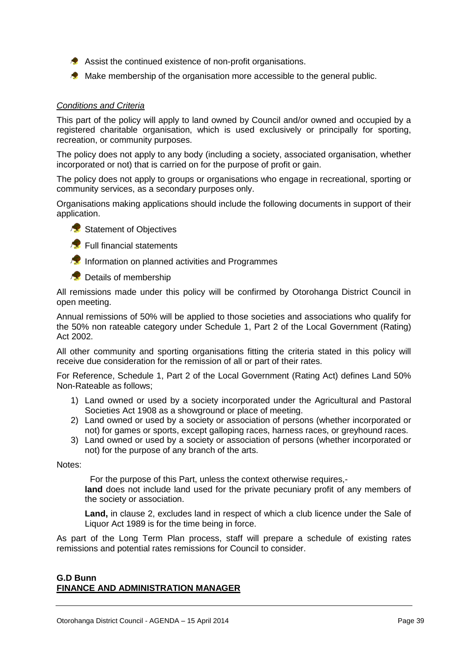- Assist the continued existence of non-profit organisations.
- Make membership of the organisation more accessible to the general public.

#### *Conditions and Criteria*

This part of the policy will apply to land owned by Council and/or owned and occupied by a registered charitable organisation, which is used exclusively or principally for sporting, recreation, or community purposes.

The policy does not apply to any body (including a society, associated organisation, whether incorporated or not) that is carried on for the purpose of profit or gain.

The policy does not apply to groups or organisations who engage in recreational, sporting or community services, as a secondary purposes only.

Organisations making applications should include the following documents in support of their application.





**Full financial statements** 

**Information on planned activities and Programmes** 

**Details of membership** 

All remissions made under this policy will be confirmed by Otorohanga District Council in open meeting.

Annual remissions of 50% will be applied to those societies and associations who qualify for the 50% non rateable category under Schedule 1, Part 2 of the Local Government (Rating) Act 2002.

All other community and sporting organisations fitting the criteria stated in this policy will receive due consideration for the remission of all or part of their rates.

For Reference, Schedule 1, Part 2 of the Local Government (Rating Act) defines Land 50% Non-Rateable as follows;

- 1) Land owned or used by a society incorporated under the Agricultural and Pastoral Societies Act 1908 as a showground or place of meeting.
- 2) Land owned or used by a society or association of persons (whether incorporated or not) for games or sports, except galloping races, harness races, or greyhound races.
- 3) Land owned or used by a society or association of persons (whether incorporated or not) for the purpose of any branch of the arts.

Notes:

For the purpose of this Part, unless the context otherwise requires,-

**land** does not include land used for the private pecuniary profit of any members of the society or association.

Land, in clause 2, excludes land in respect of which a club licence under the Sale of Liquor Act 1989 is for the time being in force.

As part of the Long Term Plan process, staff will prepare a schedule of existing rates remissions and potential rates remissions for Council to consider.

#### **G.D Bunn FINANCE AND ADMINISTRATION MANAGER**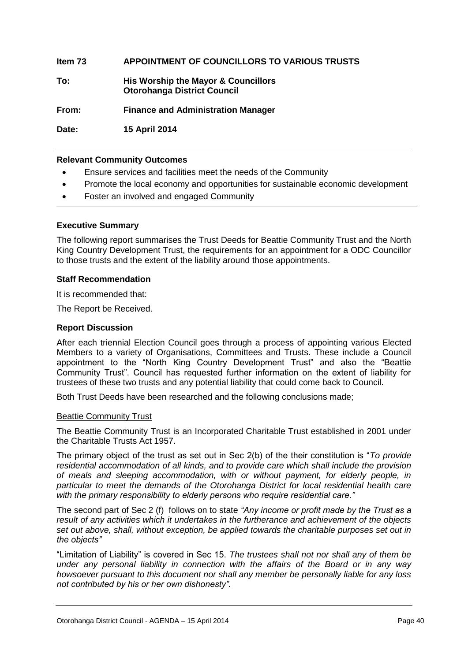#### **Item 73 APPOINTMENT OF COUNCILLORS TO VARIOUS TRUSTS**

**To: His Worship the Mayor & Councillors Otorohanga District Council**

**From: Finance and Administration Manager**

**Date: 15 April 2014**

#### **Relevant Community Outcomes**

- Ensure services and facilities meet the needs of the Community
- Promote the local economy and opportunities for sustainable economic development
- Foster an involved and engaged Community

#### **Executive Summary**

The following report summarises the Trust Deeds for Beattie Community Trust and the North King Country Development Trust, the requirements for an appointment for a ODC Councillor to those trusts and the extent of the liability around those appointments.

#### **Staff Recommendation**

It is recommended that:

The Report be Received.

#### **Report Discussion**

After each triennial Election Council goes through a process of appointing various Elected Members to a variety of Organisations, Committees and Trusts. These include a Council appointment to the "North King Country Development Trust" and also the "Beattie Community Trust". Council has requested further information on the extent of liability for trustees of these two trusts and any potential liability that could come back to Council.

Both Trust Deeds have been researched and the following conclusions made;

#### Beattie Community Trust

The Beattie Community Trust is an Incorporated Charitable Trust established in 2001 under the Charitable Trusts Act 1957.

The primary object of the trust as set out in Sec 2(b) of the their constitution is "*To provide residential accommodation of all kinds, and to provide care which shall include the provision of meals and sleeping accommodation, with or without payment, for elderly people, in particular to meet the demands of the Otorohanga District for local residential health care with the primary responsibility to elderly persons who require residential care."*

The second part of Sec 2 (f) follows on to state *"Any income or profit made by the Trust as a result of any activities which it undertakes in the furtherance and achievement of the objects set out above, shall, without exception, be applied towards the charitable purposes set out in the objects"*

"Limitation of Liability" is covered in Sec 15. *The trustees shall not nor shall any of them be under any personal liability in connection with the affairs of the Board or in any way howsoever pursuant to this document nor shall any member be personally liable for any loss not contributed by his or her own dishonesty".*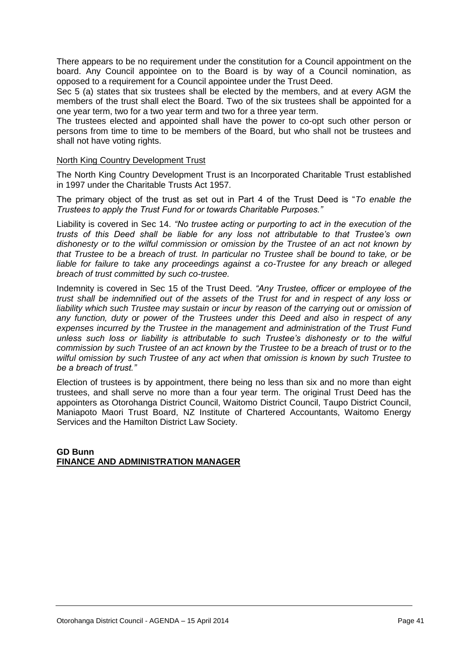There appears to be no requirement under the constitution for a Council appointment on the board. Any Council appointee on to the Board is by way of a Council nomination, as opposed to a requirement for a Council appointee under the Trust Deed.

Sec 5 (a) states that six trustees shall be elected by the members, and at every AGM the members of the trust shall elect the Board. Two of the six trustees shall be appointed for a one year term, two for a two year term and two for a three year term.

The trustees elected and appointed shall have the power to co-opt such other person or persons from time to time to be members of the Board, but who shall not be trustees and shall not have voting rights.

#### North King Country Development Trust

The North King Country Development Trust is an Incorporated Charitable Trust established in 1997 under the Charitable Trusts Act 1957.

The primary object of the trust as set out in Part 4 of the Trust Deed is "*To enable the Trustees to apply the Trust Fund for or towards Charitable Purposes."*

Liability is covered in Sec 14. *"No trustee acting or purporting to act in the execution of the trusts of this Deed shall be liable for any loss not attributable to that Trustee's own dishonesty or to the wilful commission or omission by the Trustee of an act not known by that Trustee to be a breach of trust. In particular no Trustee shall be bound to take, or be liable for failure to take any proceedings against a co-Trustee for any breach or alleged breach of trust committed by such co-trustee.*

Indemnity is covered in Sec 15 of the Trust Deed. *"Any Trustee, officer or employee of the trust shall be indemnified out of the assets of the Trust for and in respect of any loss or liability which such Trustee may sustain or incur by reason of the carrying out or omission of any function, duty or power of the Trustees under this Deed and also in respect of any expenses incurred by the Trustee in the management and administration of the Trust Fund unless such loss or liability is attributable to such Trustee's dishonesty or to the wilful commission by such Trustee of an act known by the Trustee to be a breach of trust or to the wilful omission by such Trustee of any act when that omission is known by such Trustee to be a breach of trust."*

Election of trustees is by appointment, there being no less than six and no more than eight trustees, and shall serve no more than a four year term. The original Trust Deed has the appointers as Otorohanga District Council, Waitomo District Council, Taupo District Council, Maniapoto Maori Trust Board, NZ Institute of Chartered Accountants, Waitomo Energy Services and the Hamilton District Law Society.

**GD Bunn FINANCE AND ADMINISTRATION MANAGER**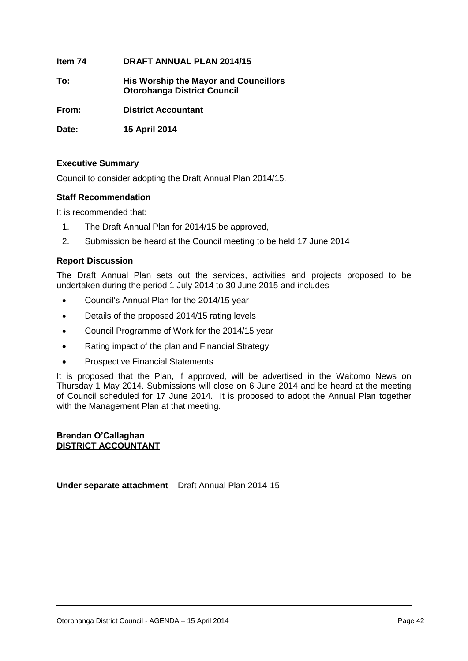**Item 74 DRAFT ANNUAL PLAN 2014/15 To: His Worship the Mayor and Councillors Otorohanga District Council From: District Accountant Date: 15 April 2014**

#### **Executive Summary**

Council to consider adopting the Draft Annual Plan 2014/15.

#### **Staff Recommendation**

It is recommended that:

- 1. The Draft Annual Plan for 2014/15 be approved,
- 2. Submission be heard at the Council meeting to be held 17 June 2014

#### **Report Discussion**

The Draft Annual Plan sets out the services, activities and projects proposed to be undertaken during the period 1 July 2014 to 30 June 2015 and includes

- Council's Annual Plan for the 2014/15 year
- Details of the proposed 2014/15 rating levels
- Council Programme of Work for the 2014/15 year
- Rating impact of the plan and Financial Strategy
- Prospective Financial Statements

It is proposed that the Plan, if approved, will be advertised in the Waitomo News on Thursday 1 May 2014. Submissions will close on 6 June 2014 and be heard at the meeting of Council scheduled for 17 June 2014. It is proposed to adopt the Annual Plan together with the Management Plan at that meeting.

#### **Brendan O'Callaghan DISTRICT ACCOUNTANT**

**Under separate attachment** – Draft Annual Plan 2014-15